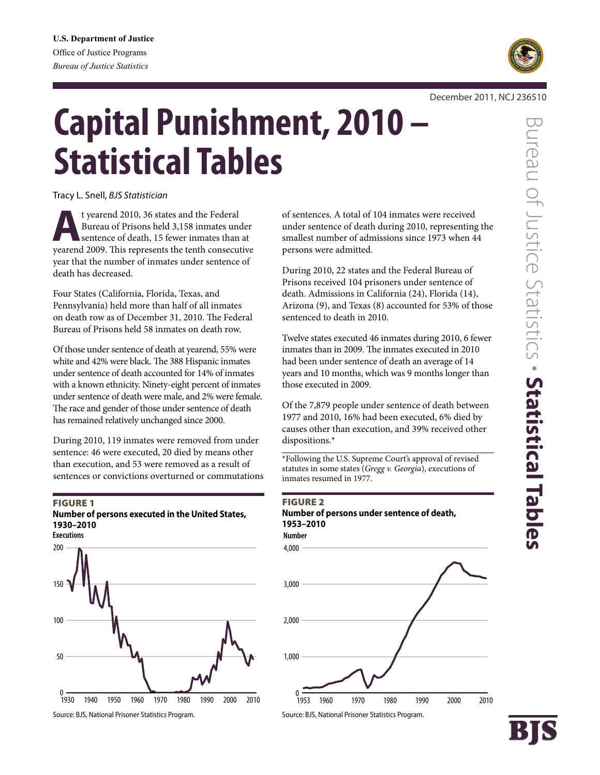

#### December 2011, NCJ 236510

# **Capital Punishment, 2010 – Statistical Tables**

Tracy L. Snell, *BJS Statistician*

t yearend 2010, 36 states and the Federal<br>Bureau of Prisons held 3,158 inmates une<br>sentence of death, 15 fewer inmates than Bureau of Prisons held 3,158 inmates under sentence of death, 15 fewer inmates than at yearend 2009. This represents the tenth consecutive year that the number of inmates under sentence of death has decreased.

Four States (California, Florida, Texas, and Pennsylvania) held more than half of all inmates on death row as of December 31, 2010. The Federal Bureau of Prisons held 58 inmates on death row.

Of those under sentence of death at yearend, 55% were white and 42% were black. The 388 Hispanic inmates under sentence of death accounted for 14% of inmates with a known ethnicity. Ninety-eight percent of inmates under sentence of death were male, and 2% were female. The race and gender of those under sentence of death has remained relatively unchanged since 2000.

During 2010, 119 inmates were removed from under sentence: 46 were executed, 20 died by means other than execution, and 53 were removed as a result of sentences or convictions overturned or commutations

#### **FIGURE 1 Number of persons executed in the United States, 1930–2010**



Source: BJS, National Prisoner Statistics Program.

of sentences. A total of 104 inmates were received under sentence of death during 2010, representing the smallest number of admissions since 1973 when 44 persons were admitted.

During 2010, 22 states and the Federal Bureau of Prisons received 104 prisoners under sentence of death. Admissions in California (24), Florida (14), Arizona (9), and Texas (8) accounted for 53% of those sentenced to death in 2010.

Twelve states executed 46 inmates during 2010, 6 fewer inmates than in 2009. The inmates executed in 2010 had been under sentence of death an average of 14 years and 10 months, which was 9 months longer than those executed in 2009.

Of the 7,879 people under sentence of death between 1977 and 2010, 16% had been executed, 6% died by causes other than execution, and 39% received other dispositions.\*

\*Following the U.S. Supreme Court's approval of revised statutes in some states (*Gregg v. Georgia*), executions of inmates resumed in 1977.

#### Figure 2

**Number of persons under sentence of death, 1953–2010**

4,000 **Number**



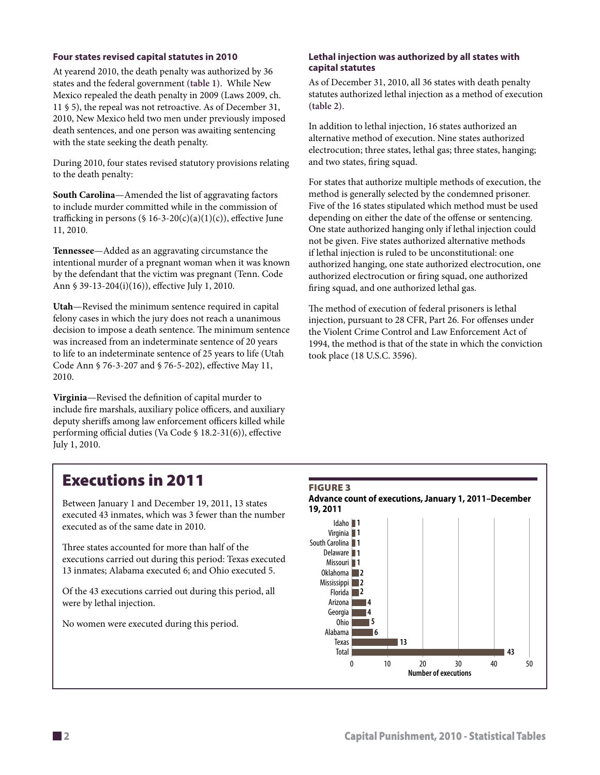#### **Four states revised capital statutes in 2010**

At yearend 2010, the death penalty was authorized by 36 states and the federal government **(table 1)**. While New Mexico repealed the death penalty in 2009 (Laws 2009, ch. 11 § 5), the repeal was not retroactive. As of December 31, 2010, New Mexico held two men under previously imposed death sentences, and one person was awaiting sentencing with the state seeking the death penalty.

During 2010, four states revised statutory provisions relating to the death penalty:

**South Carolina**—Amended the list of aggravating factors to include murder committed while in the commission of trafficking in persons (§ 16-3-20(c)(a)(1)(c)), effective June 11, 2010.

**Tennessee**—Added as an aggravating circumstance the intentional murder of a pregnant woman when it was known by the defendant that the victim was pregnant (Tenn. Code Ann § 39-13-204(i)(16)), effective July 1, 2010.

**Utah**—Revised the minimum sentence required in capital felony cases in which the jury does not reach a unanimous decision to impose a death sentence. The minimum sentence was increased from an indeterminate sentence of 20 years to life to an indeterminate sentence of 25 years to life (Utah Code Ann § 76-3-207 and § 76-5-202), effective May 11, 2010.

**Virginia**—Revised the definition of capital murder to include fire marshals, auxiliary police officers, and auxiliary deputy sheriffs among law enforcement officers killed while performing official duties (Va Code § 18.2-31(6)), effective July 1, 2010.

#### **Lethal injection was authorized by all states with capital statutes**

As of December 31, 2010, all 36 states with death penalty statutes authorized lethal injection as a method of execution **(table 2)**.

In addition to lethal injection, 16 states authorized an alternative method of execution. Nine states authorized electrocution; three states, lethal gas; three states, hanging; and two states, firing squad.

For states that authorize multiple methods of execution, the method is generally selected by the condemned prisoner. Five of the 16 states stipulated which method must be used depending on either the date of the offense or sentencing. One state authorized hanging only if lethal injection could not be given. Five states authorized alternative methods if lethal injection is ruled to be unconstitutional: one authorized hanging, one state authorized electrocution, one authorized electrocution or firing squad, one authorized firing squad, and one authorized lethal gas.

The method of execution of federal prisoners is lethal injection, pursuant to 28 CFR, Part 26. For offenses under the Violent Crime Control and Law Enforcement Act of 1994, the method is that of the state in which the conviction took place (18 U.S.C. 3596).

### Executions in 2011

Between January 1 and December 19, 2011, 13 states executed 43 inmates, which was 3 fewer than the number executed as of the same date in 2010.

Three states accounted for more than half of the executions carried out during this period: Texas executed 13 inmates; Alabama executed 6; and Ohio executed 5.

Of the 43 executions carried out during this period, all were by lethal injection.

No women were executed during this period.

# **FIGURE 3**



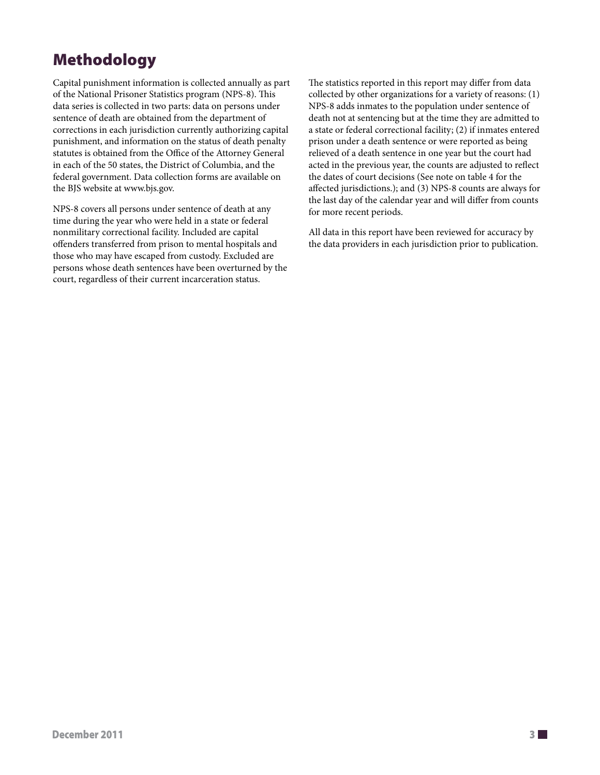## Methodology

Capital punishment information is collected annually as part of the National Prisoner Statistics program (NPS-8). This data series is collected in two parts: data on persons under sentence of death are obtained from the department of corrections in each jurisdiction currently authorizing capital punishment, and information on the status of death penalty statutes is obtained from the Office of the Attorney General in each of the 50 states, the District of Columbia, and the federal government. Data collection forms are available on the BJS website at www.bjs.gov.

NPS-8 covers all persons under sentence of death at any time during the year who were held in a state or federal nonmilitary correctional facility. Included are capital offenders transferred from prison to mental hospitals and those who may have escaped from custody. Excluded are persons whose death sentences have been overturned by the court, regardless of their current incarceration status.

The statistics reported in this report may differ from data collected by other organizations for a variety of reasons: (1) NPS-8 adds inmates to the population under sentence of death not at sentencing but at the time they are admitted to a state or federal correctional facility; (2) if inmates entered prison under a death sentence or were reported as being relieved of a death sentence in one year but the court had acted in the previous year, the counts are adjusted to reflect the dates of court decisions (See note on table 4 for the affected jurisdictions.); and (3) NPS-8 counts are always for the last day of the calendar year and will differ from counts for more recent periods.

All data in this report have been reviewed for accuracy by the data providers in each jurisdiction prior to publication.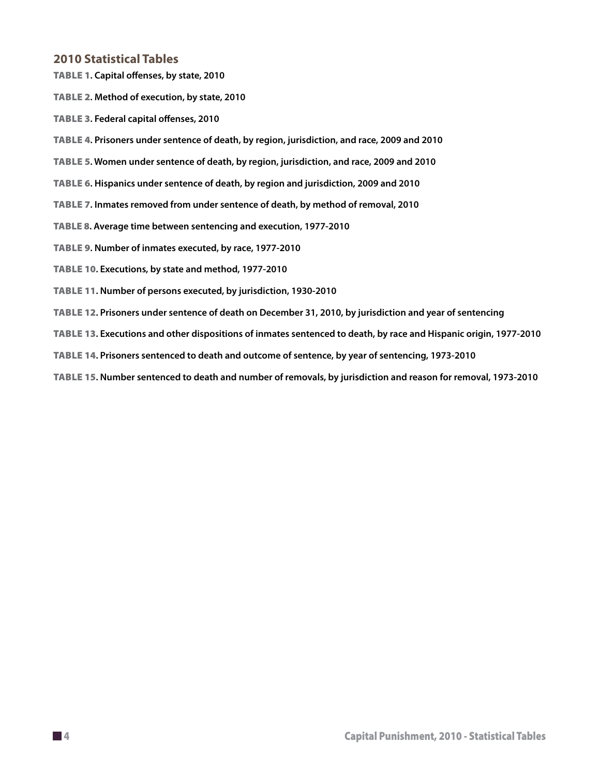#### **2010 Statistical Tables**

Table 1**. Capital offenses, by state, 2010**

Table 2**. Method of execution, by state, 2010**

Table 3**. Federal capital offenses, 2010**

Table 4**. Prisoners under sentence of death, by region, jurisdiction, and race, 2009 and 2010**

Table 5**. Women under sentence of death, by region, jurisdiction, and race, 2009 and 2010**

Table 6**. Hispanics under sentence of death, by region and jurisdiction, 2009 and 2010**

Table 7**. Inmates removed from under sentence of death, by method of removal, 2010** 

Table 8**. Average time between sentencing and execution, 1977-2010**

Table 9**. Number of inmates executed, by race, 1977-2010**

Table 10**. Executions, by state and method, 1977-2010**

Table 11**. Number of persons executed, by jurisdiction, 1930-2010**

- Table 12**. Prisoners under sentence of death on December 31, 2010, by jurisdiction and year of sentencing**
- Table 13**. Executions and other dispositions of inmates sentenced to death, by race and Hispanic origin, 1977-2010**

Table 14**. Prisoners sentenced to death and outcome of sentence, by year of sentencing, 1973-2010**

Table 15**. Number sentenced to death and number of removals, by jurisdiction and reason for removal, 1973-2010**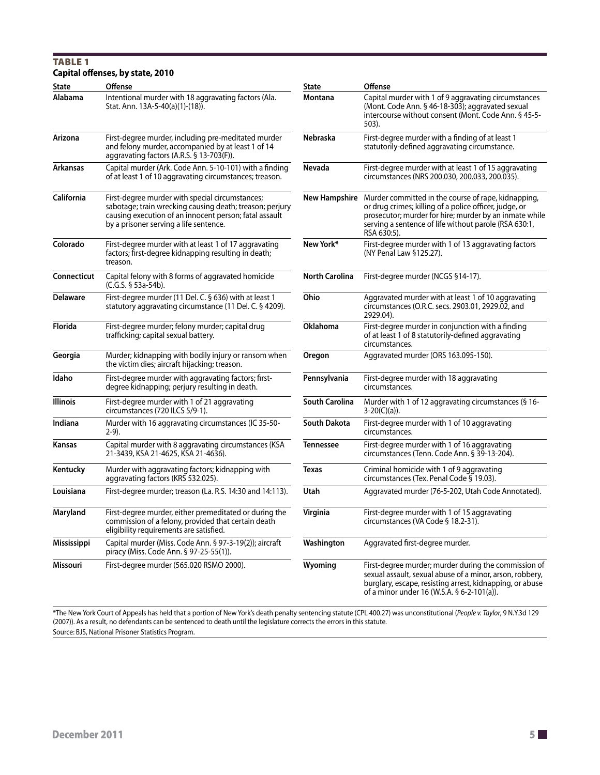#### TABLE<sub>1</sub> **Capital offenses, by state, 2010**

| <b>State</b>      | Offense                                                                                                                                                                                                         | State                 | Offense                                                                                                                                                                                                                                                       |
|-------------------|-----------------------------------------------------------------------------------------------------------------------------------------------------------------------------------------------------------------|-----------------------|---------------------------------------------------------------------------------------------------------------------------------------------------------------------------------------------------------------------------------------------------------------|
| Alabama           | Intentional murder with 18 aggravating factors (Ala.<br>Stat. Ann. 13A-5-40(a)(1)-(18)).                                                                                                                        | Montana               | Capital murder with 1 of 9 aggravating circumstances<br>(Mont. Code Ann. § 46-18-303); aggravated sexual<br>intercourse without consent (Mont. Code Ann. § 45-5-<br>503).                                                                                     |
| Arizona           | First-degree murder, including pre-meditated murder<br>and felony murder, accompanied by at least 1 of 14<br>aggravating factors (A.R.S. § 13-703(F)).                                                          | Nebraska              | First-degree murder with a finding of at least 1<br>statutorily-defined aggravating circumstance.                                                                                                                                                             |
| <b>Arkansas</b>   | Capital murder (Ark. Code Ann. 5-10-101) with a finding<br>of at least 1 of 10 aggravating circumstances; treason.                                                                                              | Nevada                | First-degree murder with at least 1 of 15 aggravating<br>circumstances (NRS 200.030, 200.033, 200.035).                                                                                                                                                       |
| <b>California</b> | First-degree murder with special circumstances;<br>sabotage; train wrecking causing death; treason; perjury<br>causing execution of an innocent person; fatal assault<br>by a prisoner serving a life sentence. |                       | New Hampshire Murder committed in the course of rape, kidnapping,<br>or drug crimes; killing of a police officer, judge, or<br>prosecutor; murder for hire; murder by an inmate while<br>serving a sentence of life without parole (RSA 630:1,<br>RSA 630:5). |
| Colorado          | First-degree murder with at least 1 of 17 aggravating<br>factors; first-degree kidnapping resulting in death;<br>treason.                                                                                       | New York*             | First-degree murder with 1 of 13 aggravating factors<br>(NY Penal Law §125.27).                                                                                                                                                                               |
| Connecticut       | Capital felony with 8 forms of aggravated homicide<br>(C.G.S. § 53a-54b).                                                                                                                                       | <b>North Carolina</b> | First-degree murder (NCGS §14-17).                                                                                                                                                                                                                            |
| Delaware          | First-degree murder (11 Del. C. § 636) with at least 1<br>statutory aggravating circumstance (11 Del. C. § 4209).                                                                                               | Ohio                  | Aggravated murder with at least 1 of 10 aggravating<br>circumstances (O.R.C. secs. 2903.01, 2929.02, and<br>2929.04).                                                                                                                                         |
| Florida           | First-degree murder; felony murder; capital drug<br>trafficking; capital sexual battery.                                                                                                                        | <b>Oklahoma</b>       | First-degree murder in conjunction with a finding<br>of at least 1 of 8 statutorily-defined aggravating<br>circumstances.                                                                                                                                     |
| Georgia           | Murder; kidnapping with bodily injury or ransom when<br>the victim dies; aircraft hijacking; treason.                                                                                                           | Oregon                | Aggravated murder (ORS 163.095-150).                                                                                                                                                                                                                          |
| Idaho             | First-degree murder with aggravating factors; first-<br>degree kidnapping; perjury resulting in death.                                                                                                          | Pennsylvania          | First-degree murder with 18 aggravating<br>circumstances.                                                                                                                                                                                                     |
| <b>Illinois</b>   | First-degree murder with 1 of 21 aggravating<br>circumstances (720 ILCS 5/9-1).                                                                                                                                 | South Carolina        | Murder with 1 of 12 aggravating circumstances (§ 16-<br>$3-20(C)(a)$ ).                                                                                                                                                                                       |
| Indiana           | Murder with 16 aggravating circumstances (IC 35-50-<br>$2-9$ ).                                                                                                                                                 | <b>South Dakota</b>   | First-degree murder with 1 of 10 aggravating<br>circumstances.                                                                                                                                                                                                |
| Kansas            | Capital murder with 8 aggravating circumstances (KSA<br>21-3439, KSA 21-4625, KSA 21-4636).                                                                                                                     | <b>Tennessee</b>      | First-degree murder with 1 of 16 aggravating<br>circumstances (Tenn. Code Ann. § 39-13-204).                                                                                                                                                                  |
| Kentucky          | Murder with aggravating factors; kidnapping with<br>aggravating factors (KRS 532.025).                                                                                                                          | Texas                 | Criminal homicide with 1 of 9 aggravating<br>circumstances (Tex. Penal Code § 19.03).                                                                                                                                                                         |
| Louisiana         | First-degree murder; treason (La. R.S. 14:30 and 14:113).                                                                                                                                                       | Utah                  | Aggravated murder (76-5-202, Utah Code Annotated).                                                                                                                                                                                                            |
| Maryland          | First-degree murder, either premeditated or during the<br>commission of a felony, provided that certain death<br>eligibility requirements are satisfied.                                                        | Virginia              | First-degree murder with 1 of 15 aggravating<br>circumstances (VA Code § 18.2-31).                                                                                                                                                                            |
| Mississippi       | Capital murder (Miss. Code Ann. § 97-3-19(2)); aircraft<br>piracy (Miss. Code Ann. § 97-25-55(1)).                                                                                                              | Washington            | Aggravated first-degree murder.                                                                                                                                                                                                                               |
| Missouri          | First-degree murder (565.020 RSMO 2000).                                                                                                                                                                        | Wyoming               | First-degree murder; murder during the commission of<br>sexual assault, sexual abuse of a minor, arson, robbery,<br>burglary, escape, resisting arrest, kidnapping, or abuse<br>of a minor under 16 (W.S.A. § 6-2-101(a)).                                    |

\*The New York Court of Appeals has held that a portion of New York's death penalty sentencing statute (CPL 400.27) was unconstitutional (*People v. Taylor*, 9 N.Y.3d 129 (2007)). As a result, no defendants can be sentenced to death until the legislature corrects the errors in this statute. Source: BJS, National Prisoner Statistics Program.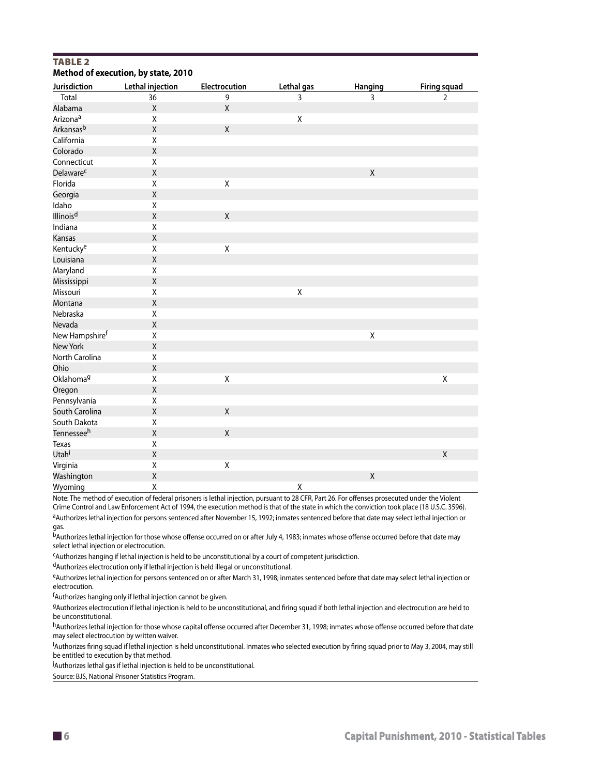#### **TABLE 2 Method of execution, by state, 2010**

| Jurisdiction           | Lethal injection | Electrocution | Lethal gas  | Hanging     | Firing squad   |
|------------------------|------------------|---------------|-------------|-------------|----------------|
| Total                  | 36               | 9             | 3           | 3           | $\overline{2}$ |
| Alabama                | $\mathsf X$      | $\mathsf X$   |             |             |                |
| Arizona <sup>a</sup>   | Χ                |               | $\mathsf X$ |             |                |
| Arkansas <sup>b</sup>  | $\mathsf X$      | $\sf X$       |             |             |                |
| California             | Χ                |               |             |             |                |
| Colorado               | $\sf X$          |               |             |             |                |
| Connecticut            | Χ                |               |             |             |                |
| Delaware <sup>c</sup>  | $\mathsf X$      |               |             | $\mathsf X$ |                |
| Florida                | Χ                | Χ             |             |             |                |
| Georgia                | $\sf X$          |               |             |             |                |
| Idaho                  | X                |               |             |             |                |
| Illinois <sup>d</sup>  | $\sf X$          | $\sf X$       |             |             |                |
| Indiana                | X                |               |             |             |                |
| Kansas                 | $\mathsf X$      |               |             |             |                |
| Kentucky <sup>e</sup>  | Χ                | X             |             |             |                |
| Louisiana              | $\mathsf X$      |               |             |             |                |
| Maryland               | Χ                |               |             |             |                |
| Mississippi            | $\mathsf X$      |               |             |             |                |
| Missouri               | Χ                |               | $\mathsf X$ |             |                |
| Montana                | $\mathsf X$      |               |             |             |                |
| Nebraska               | Χ                |               |             |             |                |
| Nevada                 | $\mathsf X$      |               |             |             |                |
| New Hampshiref         | Χ                |               |             | Χ           |                |
| New York               | Χ                |               |             |             |                |
| North Carolina         | Χ                |               |             |             |                |
| Ohio                   | $\mathsf X$      |               |             |             |                |
| Oklahoma <sup>g</sup>  | Χ                | Χ             |             |             | Χ              |
| Oregon                 | $\mathsf X$      |               |             |             |                |
| Pennsylvania           | Χ                |               |             |             |                |
| South Carolina         | $\mathsf X$      | $\mathsf X$   |             |             |                |
| South Dakota           | Χ                |               |             |             |                |
| Tennessee <sup>h</sup> | $\mathsf X$      | Χ             |             |             |                |
| Texas                  | Χ                |               |             |             |                |
| Utah <sup>i</sup>      | $\mathsf X$      |               |             |             | $\mathsf{X}$   |
| Virginia               | Χ                | Χ             |             |             |                |
| Washington             | $\sf X$          |               |             | $\mathsf X$ |                |
| Wyoming                | Χ                |               | Χ           |             |                |

Note: The method of execution of federal prisoners is lethal injection, pursuant to 28 CFR, Part 26. For offenses prosecuted under the Violent Crime Control and Law Enforcement Act of 1994, the execution method is that of the state in which the conviction took place (18 U.S.C. 3596). aAuthorizes lethal injection for persons sentenced after November 15, 1992; inmates sentenced before that date may select lethal injection or gas.

bAuthorizes lethal injection for those whose offense occurred on or after July 4, 1983; inmates whose offense occurred before that date may select lethal injection or electrocution.

cAuthorizes hanging if lethal injection is held to be unconstitutional by a court of competent jurisdiction.

dAuthorizes electrocution only if lethal injection is held illegal or unconstitutional.

eAuthorizes lethal injection for persons sentenced on or after March 31, 1998; inmates sentenced before that date may select lethal injection or electrocution.

f Authorizes hanging only if lethal injection cannot be given.

gAuthorizes electrocution if lethal injection is held to be unconstitutional, and firing squad if both lethal injection and electrocution are held to be unconstitutional.

hAuthorizes lethal injection for those whose capital offense occurred after December 31, 1998; inmates whose offense occurred before that date may select electrocution by written waiver.

i Authorizes firing squad if lethal injection is held unconstitutional. Inmates who selected execution by firing squad prior to May 3, 2004, may still be entitled to execution by that method.

j Authorizes lethal gas if lethal injection is held to be unconstitutional.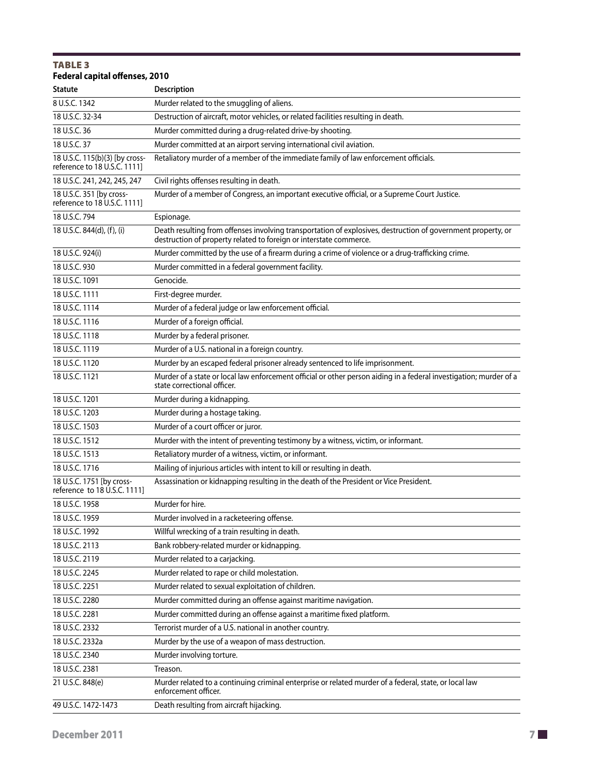| <b>TABLE 3</b><br>Federal capital offenses, 2010               |                                                                                                                                                                                    |
|----------------------------------------------------------------|------------------------------------------------------------------------------------------------------------------------------------------------------------------------------------|
| Statute                                                        | <b>Description</b>                                                                                                                                                                 |
| 8 U.S.C. 1342                                                  | Murder related to the smuggling of aliens.                                                                                                                                         |
| 18 U.S.C. 32-34                                                | Destruction of aircraft, motor vehicles, or related facilities resulting in death.                                                                                                 |
| 18 U.S.C. 36                                                   | Murder committed during a drug-related drive-by shooting.                                                                                                                          |
| 18 U.S.C. 37                                                   | Murder committed at an airport serving international civil aviation.                                                                                                               |
| 18 U.S.C. 115(b)(3) [by cross-<br>reference to 18 U.S.C. 1111] | Retaliatory murder of a member of the immediate family of law enforcement officials.                                                                                               |
| 18 U.S.C. 241, 242, 245, 247                                   | Civil rights offenses resulting in death.                                                                                                                                          |
| 18 U.S.C. 351 [by cross-<br>reference to 18 U.S.C. 1111]       | Murder of a member of Congress, an important executive official, or a Supreme Court Justice.                                                                                       |
| 18 U.S.C. 794                                                  | Espionage.                                                                                                                                                                         |
| 18 U.S.C. 844(d), (f), (i)                                     | Death resulting from offenses involving transportation of explosives, destruction of government property, or<br>destruction of property related to foreign or interstate commerce. |
| 18 U.S.C. 924(i)                                               | Murder committed by the use of a firearm during a crime of violence or a drug-trafficking crime.                                                                                   |
| 18 U.S.C. 930                                                  | Murder committed in a federal government facility.                                                                                                                                 |
| 18 U.S.C. 1091                                                 | Genocide.                                                                                                                                                                          |
| 18 U.S.C. 1111                                                 | First-degree murder.                                                                                                                                                               |
| 18 U.S.C. 1114                                                 | Murder of a federal judge or law enforcement official.                                                                                                                             |
| 18 U.S.C. 1116                                                 | Murder of a foreign official.                                                                                                                                                      |
| 18 U.S.C. 1118                                                 | Murder by a federal prisoner.                                                                                                                                                      |
| 18 U.S.C. 1119                                                 | Murder of a U.S. national in a foreign country.                                                                                                                                    |
| 18 U.S.C. 1120                                                 | Murder by an escaped federal prisoner already sentenced to life imprisonment.                                                                                                      |
| 18 U.S.C. 1121                                                 | Murder of a state or local law enforcement official or other person aiding in a federal investigation; murder of a<br>state correctional officer.                                  |
| 18 U.S.C. 1201                                                 | Murder during a kidnapping.                                                                                                                                                        |
| 18 U.S.C. 1203                                                 | Murder during a hostage taking.                                                                                                                                                    |
| 18 U.S.C. 1503                                                 | Murder of a court officer or juror.                                                                                                                                                |
| 18 U.S.C. 1512                                                 | Murder with the intent of preventing testimony by a witness, victim, or informant.                                                                                                 |
| 18 U.S.C. 1513                                                 | Retaliatory murder of a witness, victim, or informant.                                                                                                                             |
| 18 U.S.C. 1716                                                 | Mailing of injurious articles with intent to kill or resulting in death.                                                                                                           |
| 18 U.S.C. 1751 [by cross-<br>reference to 18 U.S.C. 11111      | Assassination or kidnapping resulting in the death of the President or Vice President.                                                                                             |
| 18 U.S.C. 1958                                                 | Murder for hire.                                                                                                                                                                   |
| 18 U.S.C. 1959                                                 | Murder involved in a racketeering offense.                                                                                                                                         |
| 18 U.S.C. 1992                                                 | Willful wrecking of a train resulting in death.                                                                                                                                    |
| 18 U.S.C. 2113                                                 | Bank robbery-related murder or kidnapping.                                                                                                                                         |
| 18 U.S.C. 2119                                                 | Murder related to a carjacking.                                                                                                                                                    |
| 18 U.S.C. 2245                                                 | Murder related to rape or child molestation.                                                                                                                                       |
| 18 U.S.C. 2251                                                 | Murder related to sexual exploitation of children.                                                                                                                                 |
| 18 U.S.C. 2280                                                 | Murder committed during an offense against maritime navigation.                                                                                                                    |
| 18 U.S.C. 2281                                                 | Murder committed during an offense against a maritime fixed platform.                                                                                                              |
| 18 U.S.C. 2332                                                 | Terrorist murder of a U.S. national in another country.                                                                                                                            |
| 18 U.S.C. 2332a                                                | Murder by the use of a weapon of mass destruction.                                                                                                                                 |
| 18 U.S.C. 2340                                                 | Murder involving torture.                                                                                                                                                          |
| 18 U.S.C. 2381                                                 | Treason.                                                                                                                                                                           |
| 21 U.S.C. 848(e)                                               | Murder related to a continuing criminal enterprise or related murder of a federal, state, or local law<br>enforcement officer.                                                     |
| 49 U.S.C. 1472-1473                                            | Death resulting from aircraft hijacking.                                                                                                                                           |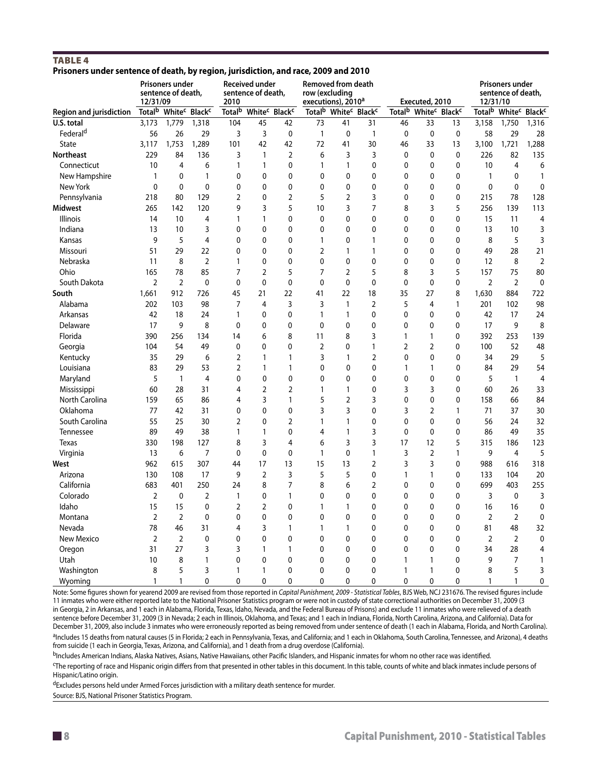#### **TABLE 4 Prisoners under sentence of death, by region, jurisdiction, and race, 2009 and 2010**

|                                | 12/31/09                  | <b>Prisoners under</b><br>sentence of death, |                                       | 2010               | <b>Received under</b><br>sentence of death, |                                       | row (excluding<br>executions), 2010 <sup>a</sup> | <b>Removed from death</b> |                                                          |                    | Executed, 2010 |                                       | 12/31/10       | <b>Prisoners under</b><br>sentence of death,             |                |
|--------------------------------|---------------------------|----------------------------------------------|---------------------------------------|--------------------|---------------------------------------------|---------------------------------------|--------------------------------------------------|---------------------------|----------------------------------------------------------|--------------------|----------------|---------------------------------------|----------------|----------------------------------------------------------|----------------|
| <b>Region and jurisdiction</b> | <b>Total</b> <sup>b</sup> |                                              | White <sup>c</sup> Black <sup>c</sup> | Total <sup>b</sup> |                                             | White <sup>c</sup> Black <sup>c</sup> |                                                  |                           | Total <sup>b</sup> White <sup>c</sup> Black <sup>c</sup> | Total <sup>b</sup> |                | White <sup>c</sup> Black <sup>c</sup> |                | Total <sup>b</sup> White <sup>c</sup> Black <sup>c</sup> |                |
| U.S. total                     | 3,173                     | 1,779                                        | 1,318                                 | 104                | 45                                          | 42                                    | 73                                               | 41                        | 31                                                       | 46                 | 33             | 13                                    | 3,158          | 1,750                                                    | 1,316          |
| Federal <sup>d</sup>           | 56                        | 26                                           | 29                                    | 3                  | 3                                           | $\mathbf 0$                           | $\mathbf{1}$                                     | $\mathbf 0$               | $\mathbf{1}$                                             | $\mathbf 0$        | 0              | 0                                     | 58             | 29                                                       | 28             |
| <b>State</b>                   | 3,117                     | 1,753                                        | 1,289                                 | 101                | 42                                          | 42                                    | 72                                               | 41                        | 30                                                       | 46                 | 33             | 13                                    | 3,100          | 1,721                                                    | 1,288          |
| <b>Northeast</b>               | 229                       | 84                                           | 136                                   | 3                  | $\mathbf{1}$                                | $\overline{2}$                        | 6                                                | 3                         | 3                                                        | $\mathbf 0$        | 0              | 0                                     | 226            | 82                                                       | 135            |
| Connecticut                    | 10                        | $\overline{4}$                               | 6                                     | $\mathbf{1}$       | $\mathbf{1}$                                | 0                                     | $\mathbf{1}$                                     | $\mathbf{1}$              | 0                                                        | $\mathbf 0$        | 0              | 0                                     | 10             | 4                                                        | 6              |
| New Hampshire                  | $\mathbf{1}$              | $\mathbf 0$                                  | $\mathbf{1}$                          | 0                  | 0                                           | 0                                     | 0                                                | $\mathbf 0$               | 0                                                        | 0                  | 0              | 0                                     | $\mathbf{1}$   | $\mathbf 0$                                              | $\mathbf{1}$   |
| New York                       | $\mathbf 0$               | $\mathbf 0$                                  | $\mathbf 0$                           | $\mathbf 0$        | 0                                           | 0                                     | 0                                                | $\mathbf 0$               | 0                                                        | 0                  | 0              | 0                                     | $\mathbf 0$    | $\mathbf 0$                                              | $\mathbf 0$    |
| Pennsylvania                   | 218                       | 80                                           | 129                                   | $\overline{2}$     | 0                                           | $\overline{2}$                        | 5                                                | $\overline{2}$            | 3                                                        | 0                  | 0              | 0                                     | 215            | 78                                                       | 128            |
| <b>Midwest</b>                 | 265                       | 142                                          | 120                                   | 9                  | 3                                           | 5                                     | 10                                               | 3                         | $\overline{7}$                                           | 8                  | 3              | 5                                     | 256            | 139                                                      | 113            |
| Illinois                       | 14                        | 10                                           | $\overline{4}$                        | $\mathbf{1}$       | $\mathbf{1}$                                | 0                                     | 0                                                | 0                         | 0                                                        | 0                  | 0              | 0                                     | 15             | 11                                                       | $\overline{4}$ |
| Indiana                        | 13                        | 10                                           | 3                                     | $\mathbf 0$        | 0                                           | $\mathbf 0$                           | 0                                                | $\mathbf 0$               | 0                                                        | 0                  | 0              | 0                                     | 13             | 10                                                       | 3              |
| Kansas                         | 9                         | 5                                            | $\overline{4}$                        | $\mathbf 0$        | 0                                           | $\mathbf 0$                           | 1                                                | $\mathbf 0$               | $\mathbf{1}$                                             | 0                  | 0              | 0                                     | 8              | 5                                                        | 3              |
| Missouri                       | 51                        | 29                                           | 22                                    | 0                  | 0                                           | 0                                     | $\overline{2}$                                   | $\mathbf{1}$              | 1                                                        | 0                  | 0              | 0                                     | 49             | 28                                                       | 21             |
| Nebraska                       | 11                        | 8                                            | $\overline{2}$                        | $\mathbf{1}$       | 0                                           | 0                                     | 0                                                | $\mathbf 0$               | 0                                                        | 0                  | 0              | 0                                     | 12             | 8                                                        | $\overline{2}$ |
| Ohio                           | 165                       | 78                                           | 85                                    | $\overline{7}$     | $\overline{2}$                              | 5                                     | 7                                                | $\overline{2}$            | 5                                                        | 8                  | 3              | 5                                     | 157            | 75                                                       | 80             |
| South Dakota                   | $\overline{2}$            | $\overline{2}$                               | $\mathbf 0$                           | $\mathbf 0$        | 0                                           | $\mathbf 0$                           | $\mathbf 0$                                      | $\mathbf 0$               | 0                                                        | $\mathbf 0$        | 0              | 0                                     | $\overline{2}$ | $\overline{2}$                                           | $\mathbf 0$    |
| South                          | 1,661                     | 912                                          | 726                                   | 45                 | 21                                          | 22                                    | 41                                               | 22                        | 18                                                       | 35                 | 27             | 8                                     | 1,630          | 884                                                      | 722            |
| Alabama                        | 202                       | 103                                          | 98                                    | $\overline{7}$     | 4                                           | 3                                     | 3                                                | $\mathbf{1}$              | $\overline{2}$                                           | 5                  | 4              | $\mathbf{1}$                          | 201            | 102                                                      | 98             |
| Arkansas                       | 42                        | 18                                           | 24                                    | $\mathbf{1}$       | 0                                           | $\mathbf 0$                           | $\mathbf{1}$                                     | $\mathbf{1}$              | 0                                                        | $\mathbf 0$        | 0              | $\mathbf 0$                           | 42             | 17                                                       | 24             |
| Delaware                       | 17                        | 9                                            | 8                                     | $\mathbf 0$        | 0                                           | $\mathbf 0$                           | 0                                                | $\mathbf 0$               | $\pmb{0}$                                                | 0                  | 0              | $\mathbf{0}$                          | 17             | 9                                                        | 8              |
| Florida                        | 390                       | 256                                          | 134                                   | 14                 | 6                                           | 8                                     | 11                                               | 8                         | 3                                                        | 1                  | 1              | 0                                     | 392            | 253                                                      | 139            |
| Georgia                        | 104                       | 54                                           | 49                                    | 0                  | 0                                           | 0                                     | $\overline{2}$                                   | $\mathbf 0$               | 1                                                        | $\overline{2}$     | $\overline{2}$ | 0                                     | 100            | 52                                                       | 48             |
| Kentucky                       | 35                        | 29                                           | 6                                     | $\overline{2}$     | $\mathbf{1}$                                | 1                                     | 3                                                | 1                         | $\overline{2}$                                           | $\mathbf 0$        | $\mathbf{0}$   | $\mathbf{0}$                          | 34             | 29                                                       | 5              |
| Louisiana                      | 83                        | 29                                           | 53                                    | $\overline{2}$     | $\mathbf{1}$                                | 1                                     | 0                                                | $\mathbf 0$               | $\mathbf 0$                                              | 1                  | $\mathbf{1}$   | 0                                     | 84             | 29                                                       | 54             |
| Maryland                       | 5                         | $\mathbf{1}$                                 | $\overline{4}$                        | 0                  | 0                                           | 0                                     | 0                                                | 0                         | 0                                                        | 0                  | 0              | 0                                     | 5              | $\mathbf{1}$                                             | 4              |
| Mississippi                    | 60                        | 28                                           | 31                                    | 4                  | $\overline{2}$                              | $\overline{2}$                        | 1                                                | $\mathbf{1}$              | 0                                                        | 3                  | 3              | 0                                     | 60             | 26                                                       | 33             |
| North Carolina                 | 159                       | 65                                           | 86                                    | 4                  | 3                                           | $\mathbf{1}$                          | 5                                                | $\overline{2}$            | 3                                                        | $\mathbf 0$        | $\mathbf 0$    | 0                                     | 158            | 66                                                       | 84             |
| Oklahoma                       | 77                        | 42                                           | 31                                    | 0                  | $\mathbf 0$                                 | $\mathbf 0$                           | 3                                                | 3                         | 0                                                        | 3                  | $\overline{2}$ | 1                                     | 71             | 37                                                       | 30             |
| South Carolina                 | 55                        | 25                                           | 30                                    | $\overline{2}$     | 0                                           | $\overline{2}$                        | 1                                                | $\mathbf{1}$              | 0                                                        | 0                  | 0              | 0                                     | 56             | 24                                                       | 32             |
| Tennessee                      | 89                        | 49                                           | 38                                    | $\mathbf{1}$       | $\mathbf{1}$                                | 0                                     | 4                                                | $\mathbf{1}$              | 3                                                        | 0                  | 0              | 0                                     | 86             | 49                                                       | 35             |
| Texas                          | 330                       | 198                                          | 127                                   | 8                  | 3                                           | 4                                     | 6                                                | 3                         | 3                                                        | 17                 | 12             | 5                                     | 315            | 186                                                      | 123            |
| Virginia                       | 13                        | 6                                            | $\overline{7}$                        | $\mathbf 0$        | $\mathbf 0$                                 | $\mathbf 0$                           | 1                                                | $\mathbf 0$               | $\mathbf{1}$                                             | 3                  | $\mathbf 2$    | 1                                     | 9              | $\overline{4}$                                           | 5              |
| West                           | 962                       | 615                                          | 307                                   | 44                 | 17                                          | 13                                    | 15                                               | 13                        | $\overline{2}$                                           | 3                  | 3              | 0                                     | 988            | 616                                                      | 318            |
| Arizona                        | 130                       | 108                                          | 17                                    | 9                  | $\overline{2}$                              | 3                                     | 5                                                | 5                         | 0                                                        | $\mathbf{1}$       | $\mathbf{1}$   | 0                                     | 133            | 104                                                      | 20             |
| California                     | 683                       | 401                                          | 250                                   | 24                 | 8                                           | $\overline{7}$                        | 8                                                | 6                         | $\overline{2}$                                           | 0                  | 0              | 0                                     | 699            | 403                                                      | 255            |
| Colorado                       | $\overline{2}$            | $\mathbf 0$                                  | $\overline{2}$                        | $\mathbf{1}$       | 0                                           | $\mathbf{1}$                          | 0                                                | $\mathbf 0$               | 0                                                        | 0                  | 0              | 0                                     | 3              | $\pmb{0}$                                                | 3              |
| Idaho                          | 15                        | 15                                           | $\mathbf 0$                           | $\overline{2}$     | 2                                           | 0                                     | 1                                                | $\mathbf{1}$              | 0                                                        | 0                  | 0              | 0                                     | 16             | 16                                                       | $\mathbf 0$    |
| Montana                        | $\overline{2}$            | $\overline{2}$                               | $\mathbf{0}$                          | $\mathbf 0$        | 0                                           | $\mathbf 0$                           | 0                                                | $\mathbf{0}$              | 0                                                        | 0                  | 0              | $\mathbf 0$                           | $\overline{2}$ | $\overline{2}$                                           | 0              |
| Nevada                         | 78                        | 46                                           | 31                                    | $\overline{4}$     | 3                                           | 1                                     | 1                                                | 1                         | 0                                                        | 0                  | 0              | $\mathbf 0$                           | 81             | 48                                                       | 32             |
| New Mexico                     | $\overline{2}$            | $\overline{2}$                               | $\mathbf 0$                           | 0                  | 0                                           | 0                                     | 0                                                | $\mathbf 0$               | 0                                                        | 0                  | 0              | 0                                     | $\overline{2}$ | 2                                                        | $\mathbf 0$    |
| Oregon                         | 31                        | 27                                           | 3                                     | 3                  | $\mathbf{1}$                                | 1                                     | 0                                                | $\mathbf 0$               | 0                                                        | 0                  | 0              | 0                                     | 34             | 28                                                       | 4              |
| Utah                           | 10                        | 8                                            | $\mathbf{1}$                          | $\mathbf 0$        | $\mathbf 0$                                 | $\mathbf 0$                           | $\mathbf{0}$                                     | $\mathbf 0$               | 0                                                        | 1                  | 1              | 0                                     | 9              | 7                                                        | $\mathbf{1}$   |
| Washington                     | 8                         | 5                                            | 3                                     | $\mathbf{1}$       | $\mathbf{1}$                                | $\mathbf 0$                           | $\mathbf{0}$                                     | $\mathbf 0$               | 0                                                        | 1                  | 1              | 0                                     | 8              | 5                                                        | 3              |
| Wyoming                        | $\mathbf{1}$              | 1                                            | $\Omega$                              | $\Omega$           | 0                                           | 0                                     | $\Omega$                                         | $\Omega$                  | 0                                                        | 0                  | 0              | $\Omega$                              | 1              | $\mathbf{1}$                                             | $\mathbf{0}$   |

Note: Some figures shown for yearend 2009 are revised from those reported in *Capital Punishment, 2009 - Statistical Tables*, BJS Web, NCJ 231676. The revised figures include 11 inmates who were either reported late to the National Prisoner Statistics program or were not in custody of state correctional authorities on December 31, 2009 (3 in Georgia, 2 in Arkansas, and 1 each in Alabama, Florida, Texas, Idaho, Nevada, and the Federal Bureau of Prisons) and exclude 11 inmates who were relieved of a death sentence before December 31, 2009 (3 in Nevada; 2 each in Illinois, Oklahoma, and Texas; and 1 each in Indiana, Florida, North Carolina, Arizona, and California). Data for December 31, 2009, also include 3 inmates who were erroneously reported as being removed from under sentence of death (1 each in Alabama, Florida, and North Carolina).

aIncludes 15 deaths from natural causes (5 in Florida; 2 each in Pennsylvania, Texas, and California; and 1 each in Oklahoma, South Carolina, Tennessee, and Arizona), 4 deaths from suicide (1 each in Georgia, Texas, Arizona, and California), and 1 death from a drug overdose (California).

bIncludes American Indians, Alaska Natives, Asians, Native Hawaiians, other Pacific Islanders, and Hispanic inmates for whom no other race was identified.

cThe reporting of race and Hispanic origin differs from that presented in other tables in this document. In this table, counts of white and black inmates include persons of Hispanic/Latino origin.

dExcludes persons held under Armed Forces jurisdiction with a military death sentence for murder.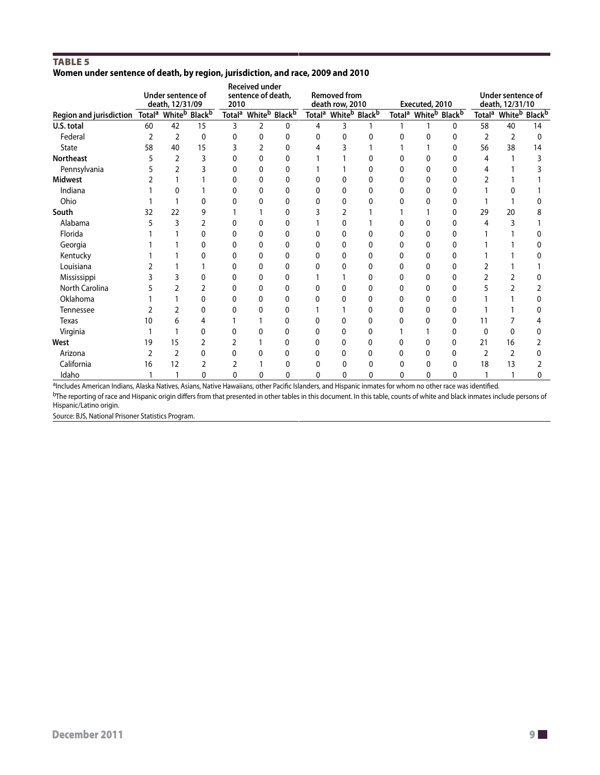#### TABLE<sub>5</sub> **Women under sentence of death, by region, jurisdiction, and race, 2009 and 2010**

|                                                                                  |    | Under sentence of<br>death, 12/31/09 |          | 2010 | Received under<br>sentence of death, |                                                          |                           | <b>Removed from</b><br>death row, 2010 |   |   | Executed, 2010                                           |   |               | Under sentence of<br>death, 12/31/10 |                |
|----------------------------------------------------------------------------------|----|--------------------------------------|----------|------|--------------------------------------|----------------------------------------------------------|---------------------------|----------------------------------------|---|---|----------------------------------------------------------|---|---------------|--------------------------------------|----------------|
| Region and jurisdiction Total <sup>a</sup> White <sup>b</sup> Black <sup>b</sup> |    |                                      |          |      |                                      | Total <sup>a</sup> White <sup>b</sup> Black <sup>b</sup> | <b>Total</b> <sup>a</sup> | White <sup>b</sup> Black <sup>b</sup>  |   |   | Total <sup>a</sup> White <sup>b</sup> Black <sup>b</sup> |   |               | Total <sup>a</sup> Whiteb            | <b>Black</b> b |
| U.S. total                                                                       | 60 | 42                                   | 15       | 3    | $\overline{2}$                       | $\mathbf{0}$                                             | 4                         | 3                                      |   |   |                                                          | 0 | 58            | 40                                   | 14             |
| Federal                                                                          | 2  | 2                                    | $\Omega$ | 0    | $\Omega$                             | 0                                                        | 0                         | 0                                      | 0 | 0 | 0                                                        | 0 | $\mathcal{P}$ | 2                                    | 0              |
| <b>State</b>                                                                     | 58 | 40                                   | 15       |      |                                      | U                                                        | 4                         |                                        |   |   |                                                          | U | 56            | 38                                   | 14             |
| Northeast                                                                        |    | 2                                    | 3        | 0    | 0                                    | 0                                                        |                           |                                        | 0 | 0 | U                                                        | 0 | 4             |                                      |                |
| Pennsylvania                                                                     |    |                                      |          | N    | U                                    | 0                                                        |                           |                                        | n | 0 | N                                                        | 0 |               |                                      |                |
| <b>Midwest</b>                                                                   |    |                                      |          | U    | 0                                    | 0                                                        | 0                         |                                        | 0 | 0 | 0                                                        | 0 |               |                                      |                |
| Indiana                                                                          |    | 0                                    |          | 0    | 0                                    | 0                                                        | 0                         | 0                                      | 0 | 0 | U                                                        | 0 |               |                                      |                |
| Ohio                                                                             |    |                                      | n        | 0    | 0                                    | 0                                                        | U                         | 0                                      |   | 0 | 0                                                        | 0 |               |                                      |                |
| South                                                                            | 32 | 22                                   | q        |      |                                      | 0                                                        |                           |                                        |   |   |                                                          | 0 | 29            | 20                                   |                |
| Alabama                                                                          |    | 3                                    |          | 0    | 0                                    | 0                                                        |                           | 0                                      |   | 0 | 0                                                        | 0 | 4             | 3                                    |                |
| Florida                                                                          |    |                                      |          | n    | U                                    | 0                                                        |                           |                                        |   | n | U                                                        | U |               |                                      |                |
| Georgia                                                                          |    |                                      | 0        | 0    | 0                                    | 0                                                        | 0                         | 0                                      | 0 | 0 | 0                                                        | 0 |               |                                      |                |
| Kentucky                                                                         |    |                                      |          |      | 0                                    | 0                                                        | 0                         | 0                                      | 0 | 0 | 0                                                        | O |               |                                      |                |
| Louisiana                                                                        |    |                                      |          | U    | 0                                    | 0                                                        |                           | n                                      | 0 | U | 0                                                        | 0 |               |                                      |                |
| Mississippi                                                                      |    |                                      | 0        | 0    | $\Omega$                             | 0                                                        |                           |                                        | 0 | 0 | 0                                                        | 0 |               |                                      |                |
| North Carolina                                                                   |    |                                      |          | N    | 0                                    | 0                                                        |                           |                                        | 0 | 0 | 0                                                        | 0 |               |                                      |                |
| Oklahoma                                                                         |    |                                      | U        | 0    | 0                                    | 0                                                        | 0                         | 0                                      | 0 | 0 | 0                                                        | O |               |                                      |                |
| Tennessee                                                                        |    |                                      | 0        | 0    | 0                                    | 0                                                        |                           |                                        | 0 | 0 | 0                                                        | 0 |               |                                      |                |
| <b>Texas</b>                                                                     | 10 | 6                                    |          |      |                                      | 0                                                        |                           |                                        |   | 0 | 0                                                        | 0 | 11            |                                      |                |
| Virginia                                                                         |    |                                      | 0        | 0    | 0                                    | 0                                                        | 0                         | 0                                      | 0 |   |                                                          | 0 | $\Omega$      | $\Omega$                             |                |
| West                                                                             | 19 | 15                                   | 2        | 2    |                                      | $\Omega$                                                 | 0                         | 0                                      | 0 | 0 | 0                                                        | 0 | 21            | 16                                   |                |
| Arizona                                                                          |    | 2                                    | 0        | U    | 0                                    | 0                                                        | 0                         | 0                                      | 0 | 0 | 0                                                        | U |               | 2                                    |                |
| California                                                                       | 16 | 12                                   | 2        | 2    |                                      | 0                                                        | 0                         | 0                                      | 0 | 0 | 0                                                        | 0 | 18            | 13                                   |                |
| Idaho                                                                            |    |                                      | U        | U    | U                                    | 0                                                        | U                         | 0                                      | n | U | 0                                                        | U |               |                                      |                |

aIncludes American Indians, Alaska Natives, Asians, Native Hawaiians, other Pacific Islanders, and Hispanic inmates for whom no other race was identified.

<sup>b</sup>The reporting of race and Hispanic origin differs from that presented in other tables in this document. In this table, counts of white and black inmates include persons of Hispanic/Latino origin.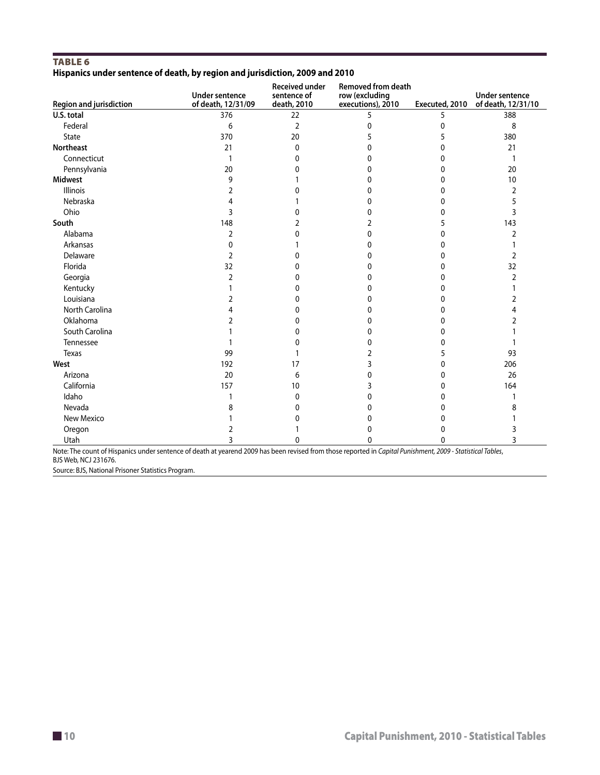#### Table 6 **Hispanics under sentence of death, by region and jurisdiction, 2009 and 2010**

| <b>Region and jurisdiction</b> | <b>Under sentence</b><br>of death, 12/31/09 | <b>Received under</b><br>sentence of<br>death, 2010 | <b>Removed from death</b><br>row (excluding<br>executions), 2010 | Executed, 2010 | <b>Under sentence</b><br>of death, 12/31/10 |
|--------------------------------|---------------------------------------------|-----------------------------------------------------|------------------------------------------------------------------|----------------|---------------------------------------------|
| U.S. total                     | 376                                         | 22                                                  | 5                                                                | 5              | 388                                         |
| Federal                        | 6                                           | $\overline{2}$                                      | 0                                                                | 0              | 8                                           |
| <b>State</b>                   | 370                                         | 20                                                  | 5                                                                | 5              | 380                                         |
| Northeast                      | 21                                          | 0                                                   | 0                                                                | 0              | 21                                          |
| Connecticut                    |                                             | 0                                                   | 0                                                                | 0              | 1                                           |
| Pennsylvania                   | 20                                          | 0                                                   | 0                                                                | 0              | 20                                          |
| <b>Midwest</b>                 | 9                                           |                                                     | 0                                                                | 0              | 10                                          |
| Illinois                       | 2                                           | U                                                   | 0                                                                | 0              | 2                                           |
| Nebraska                       | 4                                           |                                                     | 0                                                                | 0              | 5                                           |
| Ohio                           | 3                                           | 0                                                   | 0                                                                | 0              | 3                                           |
| South                          | 148                                         | 2                                                   | 2                                                                | 5              | 143                                         |
| Alabama                        | $\overline{2}$                              | 0                                                   | 0                                                                | 0              | 2                                           |
| Arkansas                       | 0                                           |                                                     | 0                                                                | 0              |                                             |
| Delaware                       | 2                                           | 0                                                   | 0                                                                | 0              | 2                                           |
| Florida                        | 32                                          | 0                                                   | 0                                                                | 0              | 32                                          |
| Georgia                        | 2                                           | 0                                                   | 0                                                                | 0              | 2                                           |
| Kentucky                       |                                             | 0                                                   | 0                                                                | 0              |                                             |
| Louisiana                      | 2                                           | 0                                                   | 0                                                                | 0              | 2                                           |
| North Carolina                 |                                             | 0                                                   | 0                                                                | 0              | 4                                           |
| Oklahoma                       | 2                                           | 0                                                   | 0                                                                | 0              | 2                                           |
| South Carolina                 |                                             | 0                                                   | 0                                                                | 0              |                                             |
| Tennessee                      |                                             | 0                                                   | 0                                                                | 0              |                                             |
| Texas                          | 99                                          |                                                     | 2                                                                | 5              | 93                                          |
| West                           | 192                                         | 17                                                  | 3                                                                | 0              | 206                                         |
| Arizona                        | 20                                          | 6                                                   | 0                                                                | 0              | 26                                          |
| California                     | 157                                         | 10                                                  | 3                                                                | 0              | 164                                         |
| Idaho                          |                                             | 0                                                   | 0                                                                | 0              |                                             |
| Nevada                         | 8                                           | 0                                                   | 0                                                                | 0              | 8                                           |
| New Mexico                     |                                             | 0                                                   | 0                                                                | 0              |                                             |
| Oregon                         | 2                                           |                                                     | 0                                                                | 0              | 3                                           |
| Utah                           | 3                                           | 0                                                   | 0                                                                | 0              | 3                                           |

Note: The count of Hispanics under sentence of death at yearend 2009 has been revised from those reported in *Capital Punishment, 2009 - Statistical Tables*, BJS Web, NCJ 231676.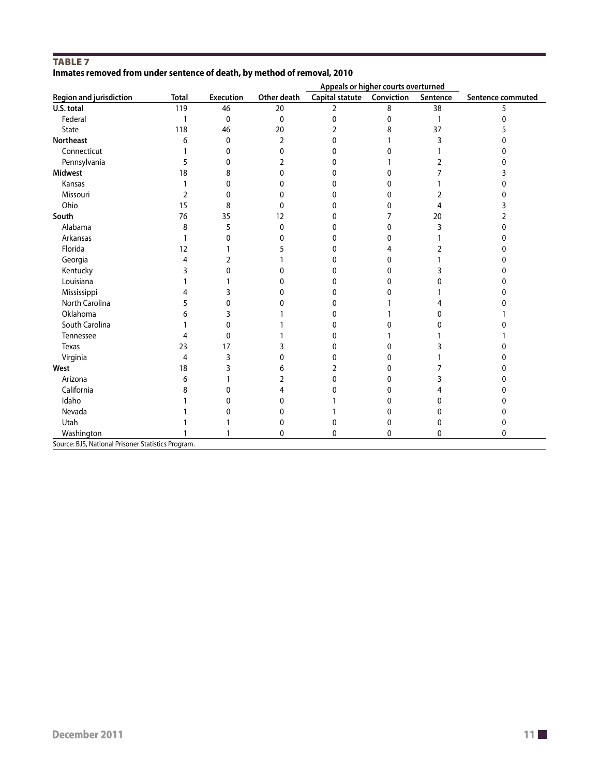#### TABLE<sub>7</sub> **Inmates removed from under sentence of death, by method of removal, 2010**

|                                                    | Appeals or higher courts overturned |                  |              |                 |            |          |                   |
|----------------------------------------------------|-------------------------------------|------------------|--------------|-----------------|------------|----------|-------------------|
| <b>Region and jurisdiction</b>                     | <b>Total</b>                        | <b>Execution</b> | Other death  | Capital statute | Conviction | Sentence | Sentence commuted |
| U.S. total                                         | 119                                 | 46               | 20           | $\overline{2}$  | 8          | 38       | 5                 |
| Federal                                            | $\mathbf{1}$                        | 0                | 0            | 0               | 0          | 1        | $\Omega$          |
| State                                              | 118                                 | 46               | 20           | 2               | 8          | 37       |                   |
| <b>Northeast</b>                                   | 6                                   | $\mathbf{0}$     | 2            | 0               |            | 3        | 0                 |
| Connecticut                                        | $\mathbf{1}$                        | 0                | $\Omega$     | O               | 0          |          |                   |
| Pennsylvania                                       | 5                                   | $\Omega$         | 2            | O               |            |          |                   |
| <b>Midwest</b>                                     | 18                                  | 8                | 0            | U               | 0          |          |                   |
| Kansas                                             | 1                                   | 0                | 0            | 0               | 0          |          |                   |
| Missouri                                           | 2                                   | 0                | 0            | O               | 0          | 2        |                   |
| Ohio                                               | 15                                  | 8                | $\Omega$     | O               | 0          | 4        |                   |
| South                                              | 76                                  | 35               | 12           | 0               | 7          | 20       |                   |
| Alabama                                            | 8                                   | 5                | 0            | 0               | 0          | 3        | 0                 |
| Arkansas                                           | $\mathbf{1}$                        | $\mathbf{0}$     | 0            | 0               | 0          |          | ი                 |
| Florida                                            | 12                                  |                  |              | 0               | 4          |          |                   |
| Georgia                                            | 4                                   | 2                |              | U               | 0          |          |                   |
| Kentucky                                           | 3                                   | 0                | <sup>0</sup> | O               | 0          |          | n                 |
| Louisiana                                          |                                     |                  | U            | U               | 0          |          | n                 |
| Mississippi                                        | 4                                   | 3                | 0            | 0               | 0          |          |                   |
| North Carolina                                     | 5                                   | 0                | U            | U               |            |          |                   |
| Oklahoma                                           | 6                                   | 3                |              | $^{(1)}$        |            | n        |                   |
| South Carolina                                     |                                     | $\Omega$         |              | U               | 0          | U        |                   |
| Tennessee                                          | 4                                   | $\mathbf{0}$     |              | U               |            |          |                   |
| <b>Texas</b>                                       | 23                                  | 17               |              | 0               | 0          |          |                   |
| Virginia                                           | 4                                   | 3                | 0            | O               | 0          |          |                   |
| West                                               | 18                                  | 3                | 6            | 2               | 0          |          |                   |
| Arizona                                            | 6                                   |                  | 2            | <sup>0</sup>    | 0          | 3        | O                 |
| California                                         | 8                                   | $\Omega$         | 4            | n               | 0          |          |                   |
| Idaho                                              |                                     | 0                | 0            |                 | 0          | 0        |                   |
| Nevada                                             |                                     | 0                | 0            |                 | 0          | o        |                   |
| Utah                                               |                                     |                  | 0            | 0               | 0          | 0        | 0                 |
| Washington                                         |                                     |                  | 0            | 0               | 0          | 0        | 0                 |
| Source: BJS, National Prisoner Statistics Program. |                                     |                  |              |                 |            |          |                   |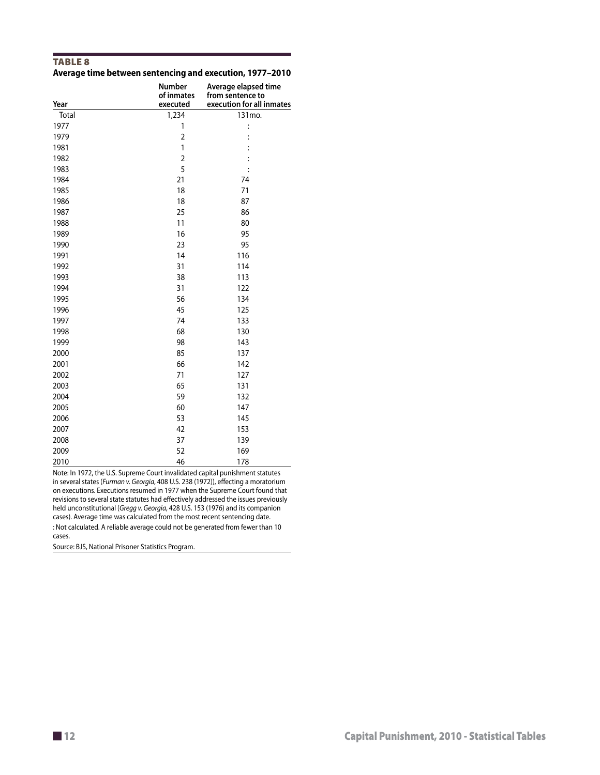#### TABLE<sub>8</sub> **Average time between sentencing and execution, 1977–2010**

| Year  | Number<br>of inmates<br>executed | Average elapsed time<br>from sentence to<br>execution for all inmates |
|-------|----------------------------------|-----------------------------------------------------------------------|
| Total | 1,234                            | 131mo.                                                                |
| 1977  | 1                                | $\vdots$                                                              |
| 1979  | $\overline{2}$                   |                                                                       |
| 1981  | 1                                |                                                                       |
| 1982  | $\overline{2}$                   |                                                                       |
| 1983  | 5                                |                                                                       |
| 1984  | 21                               | 74                                                                    |
| 1985  | 18                               | 71                                                                    |
| 1986  | 18                               | 87                                                                    |
| 1987  | 25                               | 86                                                                    |
| 1988  | 11                               | 80                                                                    |
| 1989  | 16                               | 95                                                                    |
| 1990  | 23                               | 95                                                                    |
| 1991  | 14                               | 116                                                                   |
| 1992  | 31                               | 114                                                                   |
| 1993  | 38                               | 113                                                                   |
| 1994  | 31                               | 122                                                                   |
| 1995  | 56                               | 134                                                                   |
| 1996  | 45                               | 125                                                                   |
| 1997  | 74                               | 133                                                                   |
| 1998  | 68                               | 130                                                                   |
| 1999  | 98                               | 143                                                                   |
| 2000  | 85                               | 137                                                                   |
| 2001  | 66                               | 142                                                                   |
| 2002  | 71                               | 127                                                                   |
| 2003  | 65                               | 131                                                                   |
| 2004  | 59                               | 132                                                                   |
| 2005  | 60                               | 147                                                                   |
| 2006  | 53                               | 145                                                                   |
| 2007  | 42                               | 153                                                                   |
| 2008  | 37                               | 139                                                                   |
| 2009  | 52                               | 169                                                                   |
| 2010  | 46                               | 178                                                                   |

Note: In 1972, the U.S. Supreme Court invalidated capital punishment statutes in several states (*Furman v. Georgia*, 408 U.S. 238 (1972)), effecting a moratorium on executions. Executions resumed in 1977 when the Supreme Court found that revisions to several state statutes had effectively addressed the issues previously held unconstitutional (*Gregg v. Georgia*, 428 U.S. 153 (1976) and its companion cases). Average time was calculated from the most recent sentencing date. : Not calculated. A reliable average could not be generated from fewer than 10 cases.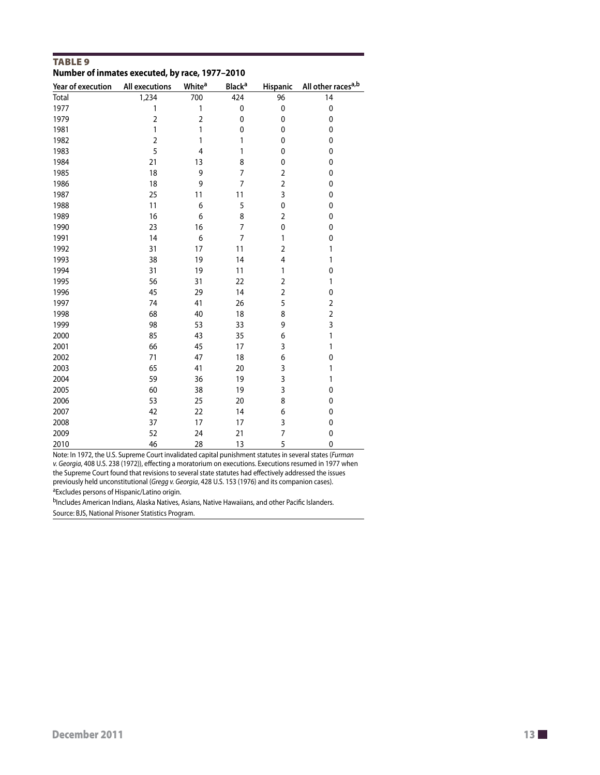| <b>TABLE 9</b>                                 |  |
|------------------------------------------------|--|
| Number of inmates executed, by race, 1977-2010 |  |

| Year of execution | <b>All executions</b> | <b>White<sup>a</sup></b> | <b>Black<sup>a</sup></b> | Hispanic                | All other races <sup>a,b</sup> |
|-------------------|-----------------------|--------------------------|--------------------------|-------------------------|--------------------------------|
| Total             | 1,234                 | 700                      | 424                      | 96                      | 14                             |
| 1977              | 1                     | 1                        | $\pmb{0}$                | $\pmb{0}$               | $\pmb{0}$                      |
| 1979              | $\overline{2}$        | $\overline{c}$           | 0                        | 0                       | 0                              |
| 1981              | 1                     | 1                        | 0                        | 0                       | 0                              |
| 1982              | $\overline{2}$        | 1                        | 1                        | 0                       | $\mathbf 0$                    |
| 1983              | 5                     | $\overline{4}$           | 1                        | 0                       | 0                              |
| 1984              | 21                    | 13                       | 8                        | 0                       | 0                              |
| 1985              | 18                    | 9                        | 7                        | 2                       | 0                              |
| 1986              | 18                    | 9                        | 7                        | $\overline{\mathbf{c}}$ | 0                              |
| 1987              | 25                    | 11                       | 11                       | 3                       | 0                              |
| 1988              | 11                    | 6                        | 5                        | 0                       | 0                              |
| 1989              | 16                    | 6                        | 8                        | $\overline{2}$          | 0                              |
| 1990              | 23                    | 16                       | 7                        | 0                       | 0                              |
| 1991              | 14                    | 6                        | 7                        | 1                       | 0                              |
| 1992              | 31                    | 17                       | 11                       | $\overline{\mathbf{c}}$ | 1                              |
| 1993              | 38                    | 19                       | 14                       | 4                       | 1                              |
| 1994              | 31                    | 19                       | 11                       | 1                       | 0                              |
| 1995              | 56                    | 31                       | 22                       | $\overline{2}$          | 1                              |
| 1996              | 45                    | 29                       | 14                       | $\overline{\mathbf{c}}$ | 0                              |
| 1997              | 74                    | 41                       | 26                       | 5                       | $\overline{2}$                 |
| 1998              | 68                    | 40                       | 18                       | 8                       | $\overline{2}$                 |
| 1999              | 98                    | 53                       | 33                       | 9                       | 3                              |
| 2000              | 85                    | 43                       | 35                       | 6                       | 1                              |
| 2001              | 66                    | 45                       | 17                       | 3                       | 1                              |
| 2002              | 71                    | 47                       | 18                       | 6                       | 0                              |
| 2003              | 65                    | 41                       | 20                       | 3                       | 1                              |
| 2004              | 59                    | 36                       | 19                       | 3                       | 1                              |
| 2005              | 60                    | 38                       | 19                       | 3                       | 0                              |
| 2006              | 53                    | 25                       | 20                       | 8                       | 0                              |
| 2007              | 42                    | 22                       | 14                       | 6                       | 0                              |
| 2008              | 37                    | 17                       | 17                       | 3                       | 0                              |
| 2009              | 52                    | 24                       | 21                       | 7                       | 0                              |
| 2010              | 46                    | 28                       | 13                       | 5                       | 0                              |

Note: In 1972, the U.S. Supreme Court invalidated capital punishment statutes in several states (*Furman v. Georgia*, 408 U.S. 238 (1972)), effecting a moratorium on executions. Executions resumed in 1977 when the Supreme Court found that revisions to several state statutes had effectively addressed the issues previously held unconstitutional (*Gregg v. Georgia*, 428 U.S. 153 (1976) and its companion cases). aExcludes persons of Hispanic/Latino origin.

bIncludes American Indians, Alaska Natives, Asians, Native Hawaiians, and other Pacific Islanders. Source: BJS, National Prisoner Statistics Program.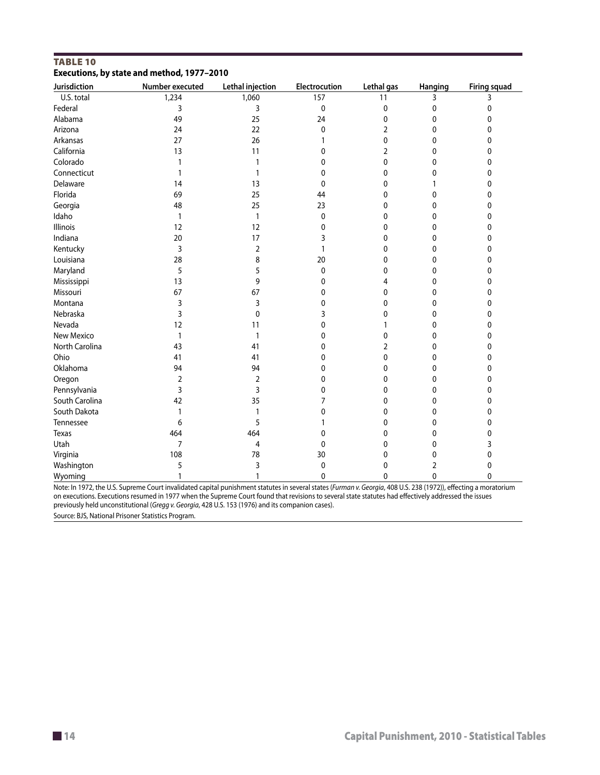| ,,,,,,,,<br>Jurisdiction | Number executed | Lethal injection | Electrocution | Lethal gas     | Hanging | <b>Firing squad</b> |
|--------------------------|-----------------|------------------|---------------|----------------|---------|---------------------|
| U.S. total               | 1,234           | 1,060            | 157           | 11             | 3       | 3                   |
| Federal                  | 3               | 3                | $\mathbf 0$   | 0              | 0       | 0                   |
| Alabama                  | 49              | 25               | 24            | 0              | 0       | 0                   |
| Arizona                  | 24              | 22               | 0             | 2              | 0       | 0                   |
| Arkansas                 | 27              | 26               |               | 0              | 0       | 0                   |
| California               | 13              | 11               | 0             | $\overline{2}$ | 0       | 0                   |
| Colorado                 | 1               |                  | 0             | 0              | 0       | 0                   |
| Connecticut              | 1               |                  | 0             | 0              | 0       | 0                   |
| Delaware                 | 14              | 13               | 0             | 0              |         | 0                   |
| Florida                  | 69              | 25               | 44            | 0              | 0       | 0                   |
| Georgia                  | 48              | 25               | 23            | 0              | 0       | 0                   |
| Idaho                    | 1               | 1                | $\mathbf 0$   | 0              | 0       | 0                   |
| Illinois                 | 12              | 12               | 0             | 0              | 0       | 0                   |
| Indiana                  | 20              | 17               | 3             | 0              | 0       | 0                   |
| Kentucky                 | 3               | $\overline{2}$   | 1             | 0              | 0       | 0                   |
| Louisiana                | 28              | 8                | 20            | 0              | 0       | 0                   |
| Maryland                 | 5               | 5                | $\pmb{0}$     | 0              | 0       | 0                   |
| Mississippi              | 13              | 9                | 0             | 4              | 0       | 0                   |
| Missouri                 | 67              | 67               | 0             | 0              | 0       | 0                   |
| Montana                  | 3               | 3                | 0             | 0              | 0       | 0                   |
| Nebraska                 | 3               | 0                | 3             | 0              | 0       | 0                   |
| Nevada                   | 12              | 11               | 0             | 1              | 0       | 0                   |
| New Mexico               | 1               | 1                | 0             | 0              | 0       | 0                   |
| North Carolina           | 43              | 41               | 0             | 2              | 0       | 0                   |
| Ohio                     | 41              | 41               | 0             | 0              | 0       | 0                   |
| Oklahoma                 | 94              | 94               | 0             | 0              | 0       | 0                   |
| Oregon                   | $\overline{2}$  | $\overline{2}$   | 0             | 0              | 0       | 0                   |
| Pennsylvania             | 3               | 3                | 0             | 0              | 0       | 0                   |
| South Carolina           | 42              | 35               | 7             | 0              | 0       | 0                   |
| South Dakota             | 1               | 1                | 0             | 0              | 0       | 0                   |
| Tennessee                | 6               | 5                |               | 0              | 0       | 0                   |
| Texas                    | 464             | 464              | 0             | 0              | 0       | 0                   |
| Utah                     | $\overline{7}$  | 4                | 0             | 0              | 0       | 3                   |
| Virginia                 | 108             | 78               | 30            | 0              | 0       | 0                   |
| Washington               | 5               | 3                | 0             | 0              | 2       | 0                   |
| Wyoming                  | 1               | $\mathbf{1}$     | $\mathbf 0$   | 0              | 0       | 0                   |

#### Table 10 **Executions, by state and method, 1977–2010**

Note: In 1972, the U.S. Supreme Court invalidated capital punishment statutes in several states (*Furman v. Georgia*, 408 U.S. 238 (1972)), effecting a moratorium on executions. Executions resumed in 1977 when the Supreme Court found that revisions to several state statutes had effectively addressed the issues previously held unconstitutional (*Gregg v. Georgia*, 428 U.S. 153 (1976) and its companion cases).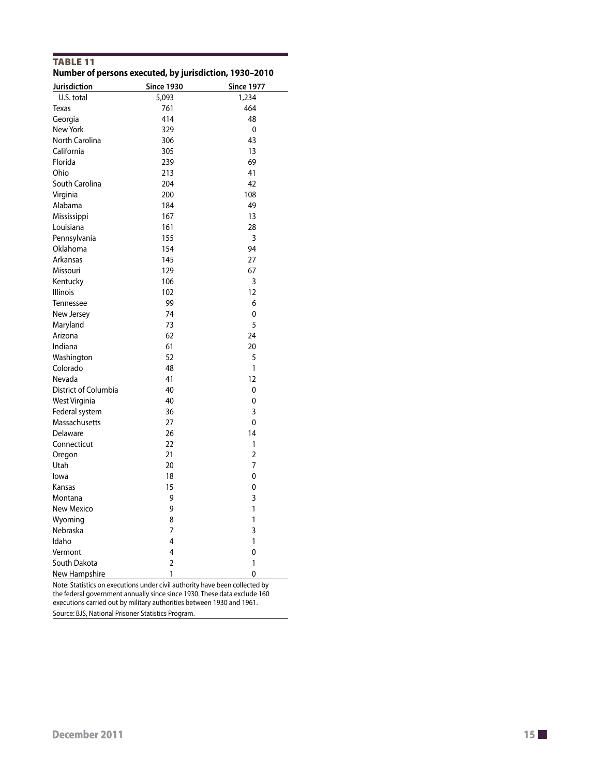| Jurisdiction         | <b>Since 1930</b> | <b>Since 1977</b> |
|----------------------|-------------------|-------------------|
| U.S. total           | 5,093             | 1,234             |
| Texas                | 761               | 464               |
| Georgia              | 414               | 48                |
| New York             | 329               | 0                 |
| North Carolina       | 306               | 43                |
| California           | 305               | 13                |
| Florida              | 239               | 69                |
| Ohio                 | 213               | 41                |
| South Carolina       | 204               | 42                |
|                      | 200               | 108               |
| Virginia             | 184               | 49                |
| Alabama              |                   |                   |
| Mississippi          | 167               | 13                |
| Louisiana            | 161               | 28                |
| Pennsylvania         | 155               | 3                 |
| Oklahoma             | 154               | 94                |
| Arkansas             | 145               | 27                |
| Missouri             | 129               | 67                |
| Kentucky             | 106               | 3                 |
| <b>Illinois</b>      | 102               | 12                |
| Tennessee            | 99                | 6                 |
| New Jersey           | 74                | 0                 |
| Maryland             | 73                | 5                 |
| Arizona              | 62                | 24                |
| Indiana              | 61                | 20                |
| Washington           | 52                | 5                 |
| Colorado             | 48                | 1                 |
| Nevada               | 41                | 12                |
| District of Columbia | 40                | 0                 |
| <b>West Virginia</b> | 40                | 0                 |
| Federal system       | 36                | 3                 |
| Massachusetts        | 27                | 0                 |
| Delaware             | 26                | 14                |
| Connecticut          | 22                | 1                 |
| Oregon               | 21                | $\overline{2}$    |
| Utah                 | 20                | 7                 |
| lowa                 | 18                | 0                 |
| Kansas               | 15                | 0                 |
| Montana              | 9                 | 3                 |
| <b>New Mexico</b>    | 9                 | 1                 |
| Wyoming              | 8                 | 1                 |
| Nebraska             | 7                 | 3                 |
| Idaho                | 4                 | 1                 |
| Vermont              | 4                 | 0                 |
| South Dakota         | $\overline{2}$    | 1                 |
| New Hampshire        | 1                 | 0                 |

Table 11 **Number of persons executed, by jurisdiction, 1930–2010**

Note: Statistics on executions under civil authority have been collected by the federal government annually since since 1930. These data exclude 160 executions carried out by military authorities between 1930 and 1961. Source: BJS, National Prisoner Statistics Program.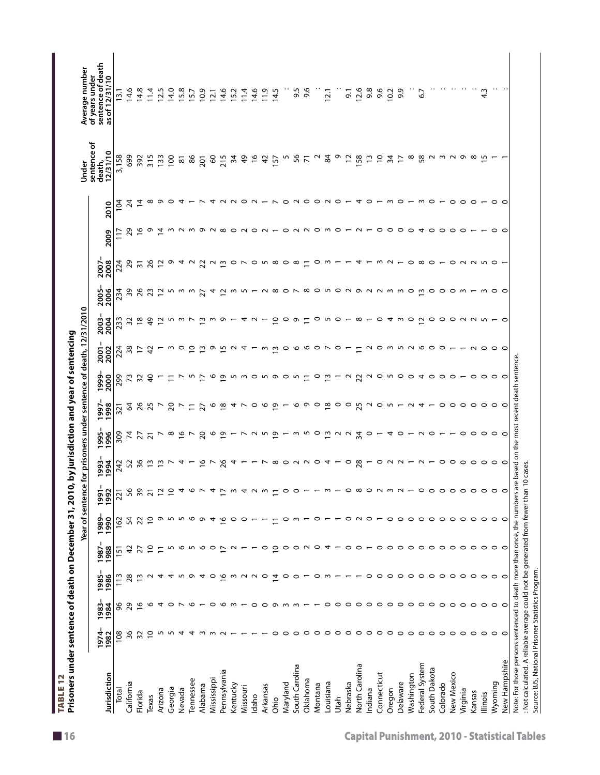| Jurisdiction   |                |               |                |                 | Year of sentend |                 |                                |                             |                     |                          | e for prisoners under sentence of death, 12/31/2010 |                     |                     |                           |                 |                 | Under                            | Average number                                        |
|----------------|----------------|---------------|----------------|-----------------|-----------------|-----------------|--------------------------------|-----------------------------|---------------------|--------------------------|-----------------------------------------------------|---------------------|---------------------|---------------------------|-----------------|-----------------|----------------------------------|-------------------------------------------------------|
|                | 1974<br>1982   | 1984<br>1983- | 1985<br>1986   | 1988<br>1987    | 1980<br>1990    | 1992<br>1991    | 993-                           | 996<br>996                  | 997.<br>998         | 1999<br>2000             | 2001<br>2002                                        | 2003-<br>2004       | 2005-<br>2006       | 2008<br>2007              | 2009            | 2010            | sentence of<br>2/31/10<br>death, | sentence of death<br>of years under<br>as of 12/31/10 |
| Total          | 108            | 96            | $\frac{13}{2}$ | $\overline{15}$ | 162             | 221             | 242                            | 309                         | 321                 | 299                      | 224                                                 | 233                 | 234                 | 224                       | $\frac{17}{2}$  | İQ              | 3,158                            | 13.1                                                  |
| California     | 36             | 29            | 28             | 4               | 54              | 56              | 52                             | $\overline{7}$              | $\mathcal{R}$       | 73                       | 38                                                  | 32                  | 39                  | 29                        | 29              | $\overline{24}$ | 699                              | 14.6                                                  |
| Florida        | 32             | $\frac{8}{1}$ | $\frac{1}{2}$  | 27              | 22              | 39              | 36                             | $\overline{27}$             | 26                  | 32                       | $\overline{z}$                                      | $\frac{8}{2}$       | 26                  | $\overline{\mathfrak{m}}$ | ي               | $\ddot{4}$      | 392                              | 14.8                                                  |
| Texas          | $\overline{0}$ | $\circ$       | $\sim$         | $\overline{0}$  | $\overline{C}$  | $\overline{2}1$ | $\frac{1}{2}$                  | $\overline{2}$              | 25                  | $\frac{6}{5}$            | $\overline{4}$                                      | $\frac{4}{9}$       | 23                  | 26                        | ᢁ               | $^{\circ}$      | 315                              | 11.4                                                  |
| Arizona        | S              | 4             | 4              | Ξ               | $\sigma$        | $\tilde{c}$     | $\tilde{\mathbf{u}}$           |                             | $\overline{ }$      | $\overline{ }$           |                                                     | $\overline{c}$      | $\overline{c}$      | $\overline{c}$            | $\ddot{z}$      | െറ              | 133                              | 12.5                                                  |
| Georgia        | S              | $\circ$       | 4              | LO              | S               | $\tilde{c}$     |                                |                             |                     | $\overline{a}$           |                                                     |                     |                     |                           |                 |                 | 100                              | 14.0                                                  |
| Nevada         | 4              |               | L              | $\circ$         | ∽               | 4               | $\triangleright$ 4 $-$         |                             | 207                 | $\overline{\phantom{0}}$ | <u>ຕ</u> ⊂                                          | 5 m m               |                     |                           |                 | ₹               | 81                               | 15.8                                                  |
| Tennessee      | 4              | ৩             | Ō              | LO              | ৩               | O               |                                | $\sim$ $\frac{9}{2}$ $\sim$ | $\Xi$               | ∽                        | $\tilde{=}$                                         |                     | ທ ຕ ຕ               | 9492                      | m N m           |                 | 86                               | 15.7                                                  |
| Alabama        | $\sim$         |               | 4              | $\circ$         | Ō               |                 | $\frac{6}{1}$                  | 20                          | 27                  | $\overline{C}$           | $\tilde{1}$                                         | $\frac{1}{2}$       | 27                  |                           | ᡡ               |                 | <b>201</b>                       | 10.9                                                  |
| Mississippi    |                | っ             | $\circ$        | $\circ$         | 4               | 4               | $\overline{ }$                 | $\circ$                     | $\circ$             | $\circ$                  | ᢁ                                                   | ന                   | 4                   | $\sim$                    |                 |                 | $\infty$                         | 12.1                                                  |
| Pennsylvania   |                | ∾             | $\frac{8}{1}$  | ₽               | $\frac{8}{1}$   | $\overline{1}$  | 26                             | $\frac{9}{5}$ -             | $\frac{8}{2}$       | $\tilde{\mathbf{c}}$     | rv                                                  | ᡡ                   | $\approx$           | Ω                         | ∞               |                 | 215                              | 14.6                                                  |
| Kentucky       |                | ന             | m              | $\sim$          | $\circ$         | $\mathsf{w}$    | 4                              |                             |                     | ∽                        | $\sim$                                              |                     | $\omega$            | $\circ$                   |                 |                 | 34                               | 15.2                                                  |
| Missouri       |                |               | $\sim$         |                 | ○               | 4               |                                | $\overline{\phantom{1}}$    | 4 L                 |                          | ↴                                                   |                     | ∽                   |                           | $O$ $N$ $O$ $N$ |                 | $\frac{6}{7}$                    | 11.4                                                  |
| Idaho          |                | $\circ$       | $\sim$         |                 |                 | $\sim$          |                                | $\sim$                      | $\circ$             |                          |                                                     |                     |                     | ○                         |                 | $\circ$ $\sim$  | $\frac{8}{1}$                    | 14.6                                                  |
| Arkansas       |                | $\circ$       | $\circ$        | $\circ$         |                 | $\sim$          | $\overline{\phantom{0}}$       | LO.                         | ७                   | ∽                        | m                                                   |                     |                     | ∽                         |                 |                 | $\overline{a}$                   | 11.9                                                  |
| Ohio           | $\circ$        | Ō             | $\overline{4}$ | $\overline{c}$  | Ξ               | $\overline{1}$  |                                | $\overline{\omega}$         | $\overline{6}$      | ᡡ                        |                                                     | $\overline{C}$      | $\infty$            | $\infty$                  |                 | $ \sim$         | 157                              | 14.5                                                  |
| Maryland       | $\circ$        | $\sim$        | $\circ$        | $\circ$         | $\circ$         | $\circ$         |                                | $\overline{ }$              |                     | $\circ$                  |                                                     | $\circ$             |                     | $\circ$                   | $\circ$         |                 | m                                |                                                       |
| South Carolina | $\circ$        | $\sim$        | $\circ$        | $\circ$         |                 |                 | $\infty$ $\circ$ $\sim$ $\sim$ | w n o ū u u                 |                     | ∽                        | mo o o o r                                          | ᡡ                   | $\circ$ $\sim$      | $\infty$                  |                 | $\circ$ $\sim$  | 56                               | 9.5                                                   |
| Oklahoma       | $\circ$        |               |                | $\sim$          |                 |                 |                                |                             | $\circ \circ \circ$ |                          |                                                     |                     |                     |                           | N               |                 | $\overline{7}$                   | 9.6                                                   |
| Montana        | $\circ$        |               | c              | $\circ$         | c               |                 | $\circ$                        |                             |                     | $\circ$                  |                                                     | 0                   |                     | 0                         | $\circ$         |                 | $\sim$                           |                                                       |
| Louisiana      | $\circ$        | $\circ$       |                | 4               |                 |                 |                                |                             | $\frac{8}{2}$       | $\frac{1}{2}$            |                                                     | m                   |                     |                           | ო               |                 | 84                               | 12.1                                                  |
| Utah           | $\circ$        | $\circ$       |                |                 |                 |                 |                                |                             | $\circ$             | $\overline{ }$           | $\circ$ $\sim$                                      | $\circ$             |                     |                           | $\circ$         |                 | Ō                                |                                                       |
| Nebraska       | $\circ$        | $\circ$       |                | $\circ$         | $\circ$         |                 | $\circ$                        |                             | $\circ$             | $\sim$                   |                                                     |                     |                     |                           |                 |                 | $\overline{5}$                   | $\overline{5}$                                        |
| North Carolina | $\circ$        | $\circ$       |                | $\circ$         | $\sim$          | $^{\circ}$      | 28                             | 34                          | 25                  | 22                       | $\Xi$                                               | $-\infty$           |                     |                           | $\sim$          | 4               | 158                              | 12.6                                                  |
| Indiana        | $\circ$        | $\circ$       | $\circ$        |                 | $\circ$         | 0               |                                | 0                           | $\sim$              | $\sim$                   |                                                     |                     |                     |                           | $\overline{ }$  | $\circ$         | $\tilde{5}$                      | 9.8                                                   |
| Connecticut    | $\circ$        | $\circ$       | $\circ$        | $\circ$         |                 | $\sim$          | ∘                              |                             | $\circ$             | $\circ$                  | 2022200-                                            | $\circ$             | 800000000000        | m                         | $\circ$         |                 | $\overline{c}$                   | 9.6                                                   |
| Oregon         | $\circ$        | $\circ$       | $\circ$        | $\circ$         | $\circ$         | w               | $\sim$                         | 4                           | ∽                   | ∽                        |                                                     | 4                   |                     | $\sim$                    | $\circ$         | ີ ຕ             | $\overline{3}$                   | 10.2                                                  |
| Delaware       | $\circ$        | $\circ$       | $\circ$        | $\circ$         | $\circ$         |                 | $\sim$                         | ○                           |                     | $\circ$                  |                                                     | ന                   |                     |                           | $\circ$         |                 | $\overline{1}$                   | 9.9                                                   |
| Washington     | $\circ$        | $\circ$       | $\circ$        | $\circ$         | $\circ$         |                 |                                |                             | $\sim$              | $\circ$                  |                                                     | $\circ$             |                     | $\circ$                   | $\circ$         |                 | $\infty$                         |                                                       |
| Federal System | $\circ$        | $\circ$       | $\circ$        | $\circ$         | $\circ$         |                 |                                | $\sim$                      | $\overline{a}$      | ↽                        |                                                     | ≃                   | $\mathsf{w}$        | $\infty$                  | 4               |                 | 58                               | 6.7                                                   |
| South Dakota   | $\circ$        | $\circ$       | $\circ$        | $\circ$         | $\circ$         | 0               |                                | っ                           |                     | $\circ$                  |                                                     |                     | $\circ$             |                           | $\circ$         |                 |                                  |                                                       |
| Colorado       | $\circ$        | $\circ$       | $\circ$        | $\circ$         | $\circ$         | 0               | $\circ$ $\circ$                |                             | $\circ$             | $\circ$                  |                                                     | $\circ \circ \circ$ | $\circ$             | $\circ$ - $\circ$         | $\circ$         | $    -$         | N W N                            |                                                       |
| New Mexico     | $\circ$        | $\circ$       | $\circ$        | $\circ$         | $\circ$         | 0               |                                |                             | $\circ$             | $\circ$                  |                                                     |                     | $\circ$             |                           | $\circ$         |                 |                                  |                                                       |
| Virginia       | $\circ$        | $\circ$       | $\circ$        | $\circ$         | $\circ$         | $\circ$         |                                | っ                           | $\circ$ $\circ$     |                          | $ \sim$ $\circ$                                     | 2 U U               | $\sim$              |                           | $\circ$         | $\circ$ $\circ$ | െ ര                              |                                                       |
| Kansas         | $\circ$        | $\circ$       | $\circ$        | $\circ$         | $\circ$         | $\circ$         |                                | $\circ$                     |                     | $\circ$                  |                                                     |                     |                     |                           |                 |                 |                                  |                                                       |
| llinois        | $\circ$        | $\circ$       | $\circ$        | $\circ$         | $\circ$         | $\circ$         | $\circ \circ \circ \circ$      | $\circ$                     | $\circ$             | $\circ$                  |                                                     |                     |                     |                           |                 |                 | m                                | $\frac{3}{4}$                                         |
| Wyoming        | $\circ$        | $\circ$       | $\circ$        | $\circ$         | $\circ$         | $\circ$         |                                |                             |                     | $\circ$                  | $\circ$ $\circ$                                     | $ \circ$            | $m$ $\circ$ $\circ$ | <b>NNWO-</b>              | $\circ$ $\circ$ | $\circ$ $\circ$ |                                  |                                                       |
| New Hampshire  | $\circ$        | $\circ$       | C              | $\circ$         | $\circ$         | 0               | $\circ$                        | $\circ$                     | C                   | $\circ$                  |                                                     |                     |                     |                           |                 |                 |                                  |                                                       |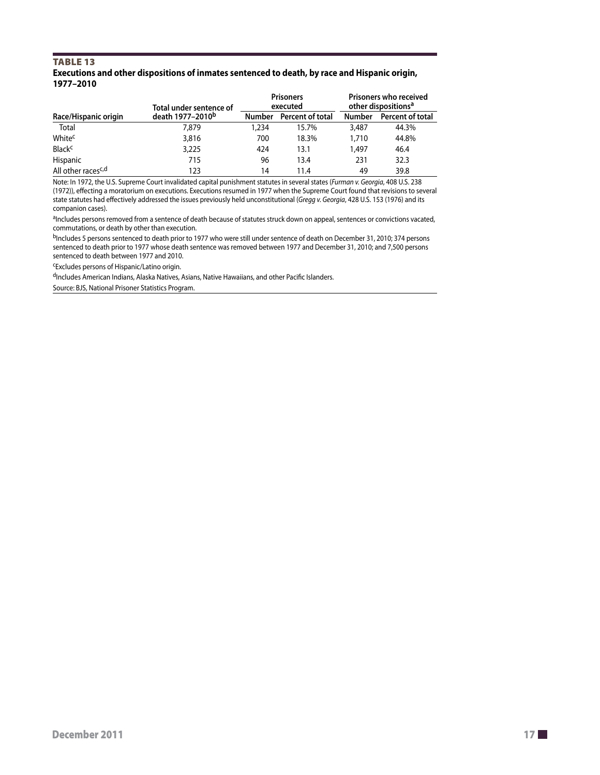#### TABLE 13 **Executions and other dispositions of inmates sentenced to death, by race and Hispanic origin, 1977–2010**

|                                | Total under sentence of      |               | <b>Prisoners</b><br>executed | Prisoners who received<br>other dispositions <sup>a</sup> |                  |  |
|--------------------------------|------------------------------|---------------|------------------------------|-----------------------------------------------------------|------------------|--|
| Race/Hispanic origin           | death 1977-2010 <sup>b</sup> | <b>Number</b> | Percent of total             | <b>Number</b>                                             | Percent of total |  |
| Total                          | 7,879                        | 1,234         | 15.7%                        | 3,487                                                     | 44.3%            |  |
| White <sup>c</sup>             | 3,816                        | 700           | 18.3%                        | 1,710                                                     | 44.8%            |  |
| <b>Black<sup>c</sup></b>       | 3,225                        | 424           | 13.1                         | 1,497                                                     | 46.4             |  |
| Hispanic                       | 715                          | 96            | 13.4                         | 231                                                       | 32.3             |  |
| All other races <sup>c,d</sup> | 123                          | 14            | 11.4                         | 49                                                        | 39.8             |  |

Note: In 1972, the U.S. Supreme Court invalidated capital punishment statutes in several states (*Furman v. Georgia*, 408 U.S. 238 (1972)), effecting a moratorium on executions. Executions resumed in 1977 when the Supreme Court found that revisions to several state statutes had effectively addressed the issues previously held unconstitutional (*Gregg v. Georgia*, 428 U.S. 153 (1976) and its companion cases).

aIncludes persons removed from a sentence of death because of statutes struck down on appeal, sentences or convictions vacated, commutations, or death by other than execution.

bIncludes 5 persons sentenced to death prior to 1977 who were still under sentence of death on December 31, 2010; 374 persons sentenced to death prior to 1977 whose death sentence was removed between 1977 and December 31, 2010; and 7,500 persons sentenced to death between 1977 and 2010.

cExcludes persons of Hispanic/Latino origin.

dIncludes American Indians, Alaska Natives, Asians, Native Hawaiians, and other Pacific Islanders.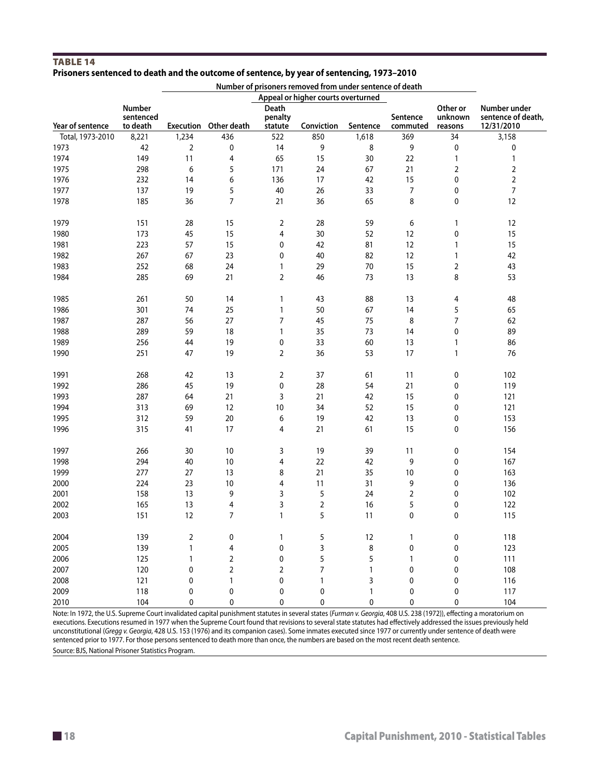#### TABLE 14 **Prisoners sentenced to death and the outcome of sentence, by year of sentencing, 1973–2010**

|                  |                     | Number of prisoners removed from under sentence of death<br>Appeal or higher courts overturned |                       |                  |            |              |                |                     |                                    |
|------------------|---------------------|------------------------------------------------------------------------------------------------|-----------------------|------------------|------------|--------------|----------------|---------------------|------------------------------------|
|                  |                     |                                                                                                |                       |                  |            |              |                |                     |                                    |
|                  | Number<br>sentenced |                                                                                                |                       | Death<br>penalty |            |              | Sentence       | Other or<br>unknown | Number under<br>sentence of death, |
| Year of sentence | to death            |                                                                                                | Execution Other death | statute          | Conviction | Sentence     | commuted       | reasons             | 12/31/2010                         |
| Total, 1973-2010 | 8,221               | 1,234                                                                                          | 436                   | 522              | 850        | 1,618        | 369            | 34                  | 3,158                              |
| 1973             | 42                  | $\overline{2}$                                                                                 | 0                     | 14               | 9          | 8            | 9              | 0                   | 0                                  |
| 1974             | 149                 | 11                                                                                             | 4                     | 65               | 15         | 30           | 22             | 1                   | $\mathbf{1}$                       |
| 1975             | 298                 | 6                                                                                              | 5                     | 171              | 24         | 67           | 21             | $\overline{2}$      | $\sqrt{2}$                         |
| 1976             | 232                 | 14                                                                                             | 6                     | 136              | 17         | 42           | 15             | 0                   | $\mathbf 2$                        |
| 1977             | 137                 | 19                                                                                             | 5                     | 40               | 26         | 33           | $\overline{7}$ | 0                   | $\boldsymbol{7}$                   |
| 1978             | 185                 | 36                                                                                             | $\overline{7}$        | 21               | 36         | 65           | 8              | 0                   | 12                                 |
| 1979             | 151                 | 28                                                                                             | 15                    | 2                | 28         | 59           | 6              | 1                   | 12                                 |
| 1980             | 173                 | 45                                                                                             | 15                    | 4                | 30         | 52           | 12             | 0                   | 15                                 |
| 1981             | 223                 | 57                                                                                             | 15                    | 0                | 42         | 81           | 12             | 1                   | 15                                 |
| 1982             | 267                 | 67                                                                                             | 23                    | 0                | 40         | 82           | 12             | $\mathbf{1}$        | 42                                 |
| 1983             | 252                 | 68                                                                                             | 24                    | 1                | 29         | $70\,$       | 15             | 2                   | 43                                 |
| 1984             | 285                 | 69                                                                                             | 21                    | $\overline{2}$   | 46         | 73           | 13             | 8                   | 53                                 |
| 1985             | 261                 | 50                                                                                             | 14                    | 1                | 43         | 88           | 13             | 4                   | 48                                 |
| 1986             | 301                 | 74                                                                                             | 25                    | $\mathbf{1}$     | 50         | 67           | 14             | 5                   | 65                                 |
| 1987             | 287                 | 56                                                                                             | 27                    | $\boldsymbol{7}$ | 45         | 75           | 8              | 7                   | 62                                 |
| 1988             | 289                 | 59                                                                                             | 18                    | $\mathbf{1}$     | 35         | 73           | 14             | 0                   | 89                                 |
| 1989             | 256                 | 44                                                                                             | 19                    | 0                | 33         | 60           | 13             | 1                   | 86                                 |
| 1990             | 251                 | 47                                                                                             | 19                    | $\overline{2}$   | 36         | 53           | 17             | 1                   | 76                                 |
| 1991             | 268                 | 42                                                                                             | 13                    | 2                | 37         | 61           | 11             | 0                   | 102                                |
| 1992             | 286                 | 45                                                                                             | 19                    | 0                | 28         | 54           | 21             | 0                   | 119                                |
| 1993             | 287                 | 64                                                                                             | 21                    | 3                | 21         | 42           | 15             | 0                   | 121                                |
| 1994             | 313                 | 69                                                                                             | 12                    | $10\,$           | 34         | 52           | 15             | 0                   | 121                                |
| 1995             | 312                 | 59                                                                                             | 20                    | 6                | 19         | 42           | 13             | 0                   | 153                                |
| 1996             | 315                 | 41                                                                                             | 17                    | 4                | 21         | 61           | 15             | 0                   | 156                                |
| 1997             | 266                 | 30                                                                                             | $10$                  | 3                | 19         | 39           | 11             | 0                   | 154                                |
| 1998             | 294                 | 40                                                                                             | $10$                  | 4                | 22         | 42           | 9              | 0                   | 167                                |
| 1999             | 277                 | 27                                                                                             | 13                    | 8                | 21         | 35           | 10             | 0                   | 163                                |
| 2000             | 224                 | 23                                                                                             | 10                    | 4                | 11         | 31           | 9              | 0                   | 136                                |
| 2001             | 158                 | 13                                                                                             | 9                     | 3                | 5          | 24           | 2              | 0                   | 102                                |
| 2002             | 165                 | 13                                                                                             | 4                     | 3                | 2          | 16           | 5              | 0                   | 122                                |
| 2003             | 151                 | 12                                                                                             | $\overline{7}$        | $\mathbf{1}$     | 5          | 11           | 0              | 0                   | 115                                |
| 2004             | 139                 | 2                                                                                              | 0                     | $\mathbf{1}$     | 5          | 12           | 1              | 0                   | 118                                |
| 2005             | 139                 | 1                                                                                              | 4                     | $\mathbf 0$      | 3          | 8            | 0              | 0                   | 123                                |
| 2006             | 125                 | 1                                                                                              | 2                     | $\pmb{0}$        | 5          | 5            | 1              | 0                   | 111                                |
| 2007             | 120                 | 0                                                                                              | $\overline{2}$        | $\overline{2}$   | 7          | $\mathbf{1}$ | 0              | 0                   | 108                                |
| 2008             | 121                 | 0                                                                                              | 1                     | 0                | 1          | 3            | 0              | 0                   | 116                                |
| 2009             | 118                 | 0                                                                                              | 0                     | 0                | 0          | $\mathbf{1}$ | 0              | 0                   | 117                                |
| 2010             | 104                 | 0                                                                                              | 0                     | 0                | 0          | $\mathbf 0$  | 0              | 0                   | 104                                |

Note: In 1972, the U.S. Supreme Court invalidated capital punishment statutes in several states (*Furman v. Georgia*, 408 U.S. 238 (1972)), effecting a moratorium on executions. Executions resumed in 1977 when the Supreme Court found that revisions to several state statutes had effectively addressed the issues previously held unconstitutional (*Gregg v. Georgia*, 428 U.S. 153 (1976) and its companion cases). Some inmates executed since 1977 or currently under sentence of death were sentenced prior to 1977. For those persons sentenced to death more than once, the numbers are based on the most recent death sentence. Source: BJS, National Prisoner Statistics Program.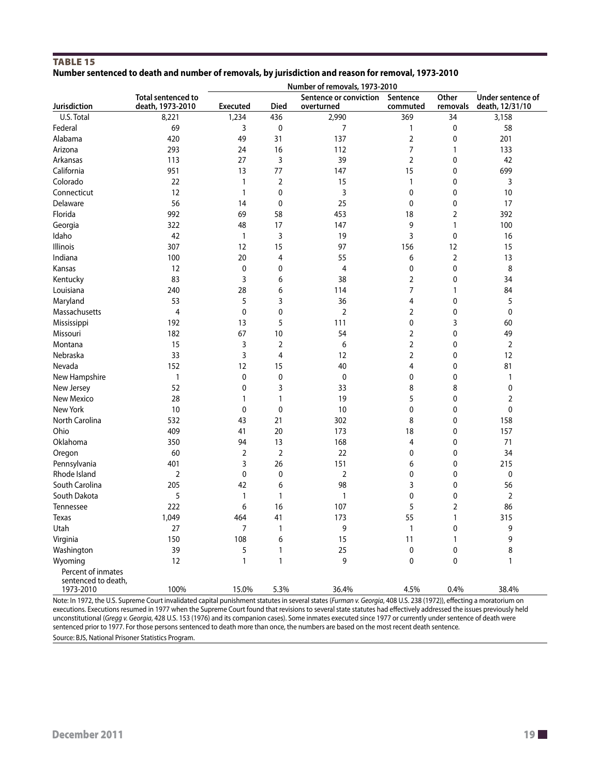#### TABLE 15 **Number sentenced to death and number of removals, by jurisdiction and reason for removal, 1973-2010**

|                                                        | Number of removals, 1973-2010          |                 |                |                                      |                      |                |                                               |
|--------------------------------------------------------|----------------------------------------|-----------------|----------------|--------------------------------------|----------------------|----------------|-----------------------------------------------|
| Jurisdiction                                           | Total sentenced to<br>death, 1973-2010 | <b>Executed</b> | Died           | Sentence or conviction<br>overturned | Sentence<br>commuted | Other          | Under sentence of<br>removals death, 12/31/10 |
| U.S. Total                                             | 8,221                                  | 1,234           | 436            | 2,990                                | 369                  | 34             | 3,158                                         |
| Federal                                                | 69                                     | 3               | 0              | 7                                    | 1                    | 0              | 58                                            |
| Alabama                                                | 420                                    | 49              | 31             | 137                                  | 2                    | 0              | 201                                           |
| Arizona                                                | 293                                    | 24              | 16             | 112                                  | 7                    | 1              | 133                                           |
| Arkansas                                               | 113                                    | 27              | 3              | 39                                   | 2                    | 0              | 42                                            |
| California                                             | 951                                    | 13              | 77             | 147                                  | 15                   | 0              | 699                                           |
| Colorado                                               | 22                                     | 1               | 2              | 15                                   | 1                    | 0              | 3                                             |
| Connecticut                                            | 12                                     | 1               | 0              | 3                                    | 0                    | 0              | 10                                            |
| Delaware                                               | 56                                     | 14              | 0              | 25                                   | 0                    | 0              | 17                                            |
| Florida                                                | 992                                    | 69              | 58             | 453                                  | 18                   | $\overline{2}$ | 392                                           |
| Georgia                                                | 322                                    | 48              | 17             | 147                                  | 9                    | $\mathbf{1}$   | 100                                           |
| Idaho                                                  | 42                                     | 1               | 3              | 19                                   | 3                    | 0              | 16                                            |
| Illinois                                               | 307                                    | 12              | 15             | 97                                   | 156                  | 12             | 15                                            |
| Indiana                                                | 100                                    | 20              | 4              | 55                                   | 6                    | $\overline{2}$ | 13                                            |
| Kansas                                                 | 12                                     | 0               | 0              | 4                                    | 0                    | 0              | 8                                             |
| Kentucky                                               | 83                                     | 3               | 6              | 38                                   | 2                    | 0              | 34                                            |
| Louisiana                                              | 240                                    | 28              | 6              | 114                                  | 7                    | 1              | 84                                            |
| Maryland                                               | 53                                     | 5               | 3              | 36                                   | 4                    | 0              | 5                                             |
| Massachusetts                                          | 4                                      | 0               | 0              | $\overline{2}$                       | 2                    | 0              | $\pmb{0}$                                     |
| Mississippi                                            | 192                                    | 13              | 5              | 111                                  | 0                    | 3              | 60                                            |
| Missouri                                               | 182                                    | 67              | $10$           | 54                                   | 2                    | 0              | 49                                            |
| Montana                                                | 15                                     | 3               | $\overline{2}$ | 6                                    | 2                    | 0              | $\overline{2}$                                |
| Nebraska                                               | 33                                     | 3               | 4              | 12                                   | 2                    | 0              | 12                                            |
| Nevada                                                 | 152                                    | 12              | 15             | 40                                   | 4                    | 0              | 81                                            |
| New Hampshire                                          | 1                                      | 0               | 0              | 0                                    | 0                    | 0              | $\mathbf{1}$                                  |
| New Jersey                                             | 52                                     | 0               | 3              | 33                                   | 8                    | 8              | 0                                             |
| New Mexico                                             | 28                                     | 1               | 1              | 19                                   | 5                    | 0              | 2                                             |
| New York                                               | 10                                     | 0               | 0              | 10                                   | 0                    | 0              | 0                                             |
| North Carolina                                         | 532                                    | 43              | 21             | 302                                  | 8                    | 0              | 158                                           |
| Ohio                                                   | 409                                    | 41              | 20             | 173                                  | 18                   | 0              | 157                                           |
| Oklahoma                                               | 350                                    | 94              | 13             | 168                                  | 4                    | 0              | 71                                            |
| Oregon                                                 | 60                                     | 2               | $\overline{2}$ | 22                                   | 0                    | $\mathbf 0$    | 34                                            |
| Pennsylvania                                           | 401                                    | 3               | 26             | 151                                  | 6                    | 0              | 215                                           |
| Rhode Island                                           | 2                                      | 0               | 0              | $\overline{2}$                       | 0                    | 0              | 0                                             |
| South Carolina                                         | 205                                    | 42              | 6              | 98                                   | 3                    | $\mathbf 0$    | 56                                            |
| South Dakota                                           | 5                                      | 1               | $\mathbf{1}$   | 1                                    | 0                    | 0              | $\overline{2}$                                |
| Tennessee                                              | 222                                    | 6               | 16             | 107                                  | 5                    | $\overline{2}$ | 86                                            |
| Texas                                                  | 1,049                                  | 464             | 41             | 173                                  | 55                   | $\mathbf{1}$   | 315                                           |
| Utah                                                   | 27                                     | $\overline{7}$  | $\mathbf{1}$   | 9                                    | $\mathbf{1}$         | $\pmb{0}$      | 9                                             |
| Virginia                                               | 150                                    | 108             | 6              | 15                                   | 11                   | 1              | 9                                             |
| Washington                                             | 39                                     | 5               | $\mathbf{1}$   | 25                                   | $\pmb{0}$            | $\mathbf 0$    | 8                                             |
| Wyoming                                                | 12                                     | $\mathbf{1}$    | $\mathbf{1}$   | 9                                    | 0                    | $\mathbf 0$    | 1                                             |
| Percent of inmates<br>sentenced to death,<br>1973-2010 | 100%                                   | 15.0%           | 5.3%           | 36.4%                                | 4.5%                 | 0.4%           | 38.4%                                         |
|                                                        |                                        |                 |                |                                      |                      |                |                                               |

Note: In 1972, the U.S. Supreme Court invalidated capital punishment statutes in several states (*Furman v. Georgia*, 408 U.S. 238 (1972)), effecting a moratorium on executions. Executions resumed in 1977 when the Supreme Court found that revisions to several state statutes had effectively addressed the issues previously held unconstitutional (*Gregg v. Georgia*, 428 U.S. 153 (1976) and its companion cases). Some inmates executed since 1977 or currently under sentence of death were sentenced prior to 1977. For those persons sentenced to death more than once, the numbers are based on the most recent death sentence. Source: BJS, National Prisoner Statistics Program.